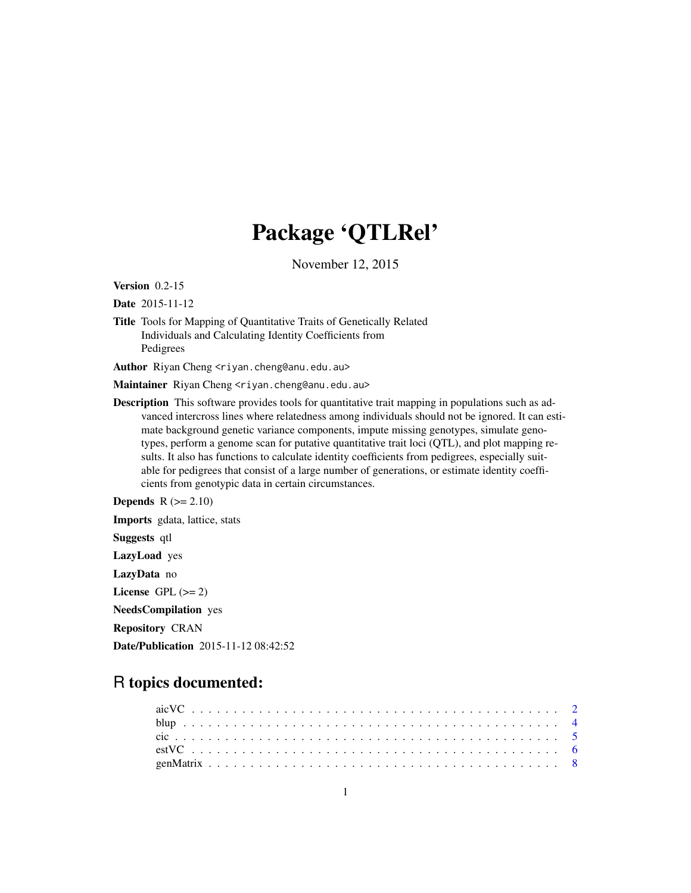# Package 'QTLRel'

November 12, 2015

<span id="page-0-0"></span>Version 0.2-15

Date 2015-11-12

Title Tools for Mapping of Quantitative Traits of Genetically Related Individuals and Calculating Identity Coefficients from Pedigrees

Author Riyan Cheng <riyan.cheng@anu.edu.au>

Maintainer Riyan Cheng <riyan.cheng@anu.edu.au>

Description This software provides tools for quantitative trait mapping in populations such as advanced intercross lines where relatedness among individuals should not be ignored. It can estimate background genetic variance components, impute missing genotypes, simulate genotypes, perform a genome scan for putative quantitative trait loci (QTL), and plot mapping results. It also has functions to calculate identity coefficients from pedigrees, especially suitable for pedigrees that consist of a large number of generations, or estimate identity coefficients from genotypic data in certain circumstances.

**Depends**  $R$  ( $>= 2.10$ ) Imports gdata, lattice, stats Suggests qtl LazyLoad yes LazyData no License GPL  $(>= 2)$ 

NeedsCompilation yes

Repository CRAN

Date/Publication 2015-11-12 08:42:52

# R topics documented: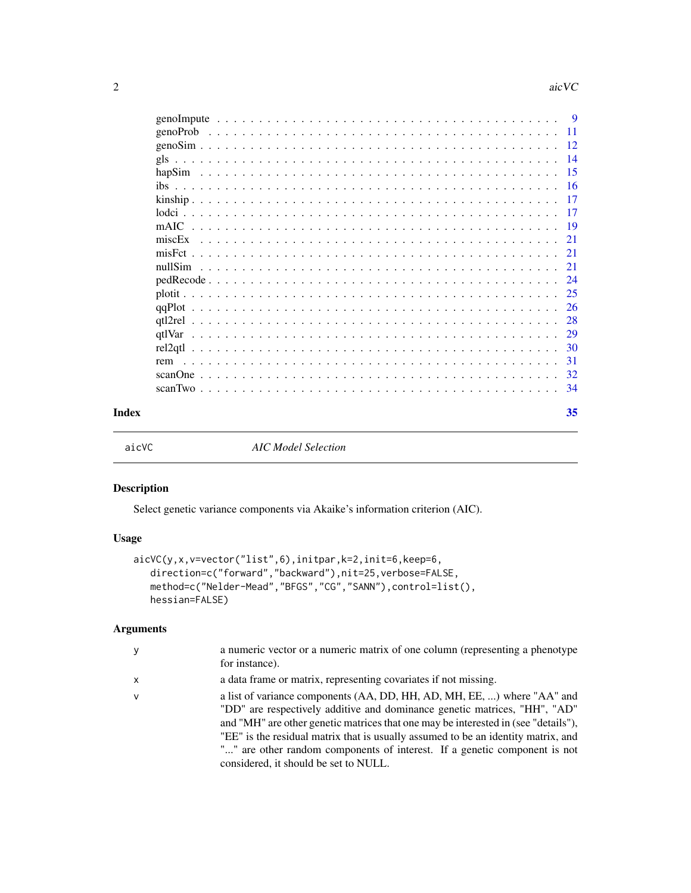<span id="page-1-0"></span>

|       |     |  |  |  |  |  |  |  |  |  |  |  |  |  |  | -28 |
|-------|-----|--|--|--|--|--|--|--|--|--|--|--|--|--|--|-----|
|       |     |  |  |  |  |  |  |  |  |  |  |  |  |  |  |     |
|       |     |  |  |  |  |  |  |  |  |  |  |  |  |  |  |     |
|       | rem |  |  |  |  |  |  |  |  |  |  |  |  |  |  | -31 |
|       |     |  |  |  |  |  |  |  |  |  |  |  |  |  |  |     |
|       |     |  |  |  |  |  |  |  |  |  |  |  |  |  |  |     |
| Index |     |  |  |  |  |  |  |  |  |  |  |  |  |  |  | 35  |

<span id="page-1-1"></span>

aicVC *AIC Model Selection*

# Description

Select genetic variance components via Akaike's information criterion (AIC).

#### Usage

```
aicVC(y,x,v=vector("list",6),initpar,k=2,init=6,keep=6,
   direction=c("forward","backward"),nit=25,verbose=FALSE,
   method=c("Nelder-Mead","BFGS","CG","SANN"),control=list(),
   hessian=FALSE)
```
# Arguments

| у | a numeric vector or a numeric matrix of one column (representing a phenotype)<br>for instance).                                                                                                                                                                                                                                                                                                                                                       |
|---|-------------------------------------------------------------------------------------------------------------------------------------------------------------------------------------------------------------------------------------------------------------------------------------------------------------------------------------------------------------------------------------------------------------------------------------------------------|
| x | a data frame or matrix, representing covariates if not missing.                                                                                                                                                                                                                                                                                                                                                                                       |
| v | a list of variance components (AA, DD, HH, AD, MH, EE, ) where "AA" and<br>"DD" are respectively additive and dominance genetic matrices, "HH", "AD"<br>and "MH" are other genetic matrices that one may be interested in (see "details"),<br>"EE" is the residual matrix that is usually assumed to be an identity matrix, and<br>"" are other random components of interest. If a genetic component is not<br>considered, it should be set to NULL. |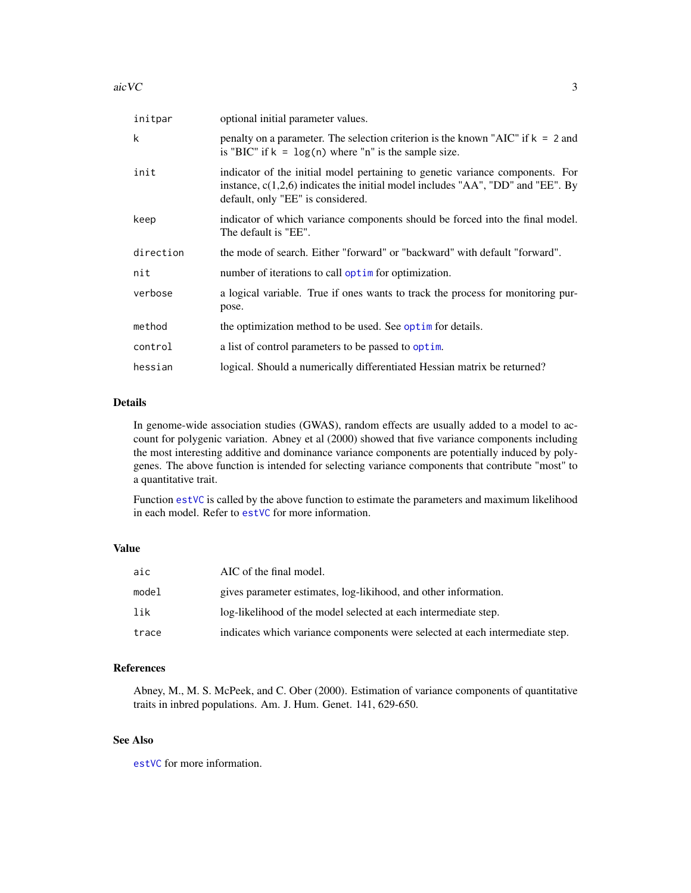<span id="page-2-0"></span>

| initpar   | optional initial parameter values.                                                                                                                                                                      |
|-----------|---------------------------------------------------------------------------------------------------------------------------------------------------------------------------------------------------------|
| k         | penalty on a parameter. The selection criterion is the known "AIC" if $k = 2$ and<br>is "BIC" if $k = \log(n)$ where "n" is the sample size.                                                            |
| init      | indicator of the initial model pertaining to genetic variance components. For<br>instance, $c(1,2,6)$ indicates the initial model includes "AA", "DD" and "EE". By<br>default, only "EE" is considered. |
| keep      | indicator of which variance components should be forced into the final model.<br>The default is "EE".                                                                                                   |
| direction | the mode of search. Either "forward" or "backward" with default "forward".                                                                                                                              |
| nit       | number of iterations to call optime for optimization.                                                                                                                                                   |
| verbose   | a logical variable. True if ones wants to track the process for monitoring pur-<br>pose.                                                                                                                |
| method    | the optimization method to be used. See optime for details.                                                                                                                                             |
| control   | a list of control parameters to be passed to optim.                                                                                                                                                     |
| hessian   | logical. Should a numerically differentiated Hessian matrix be returned?                                                                                                                                |

# Details

In genome-wide association studies (GWAS), random effects are usually added to a model to account for polygenic variation. Abney et al (2000) showed that five variance components including the most interesting additive and dominance variance components are potentially induced by polygenes. The above function is intended for selecting variance components that contribute "most" to a quantitative trait.

Function [estVC](#page-5-1) is called by the above function to estimate the parameters and maximum likelihood in each model. Refer to [estVC](#page-5-1) for more information.

#### Value

| aic   | AIC of the final model.                                                      |
|-------|------------------------------------------------------------------------------|
| model | gives parameter estimates, log-likihood, and other information.              |
| lik   | log-likelihood of the model selected at each intermediate step.              |
| trace | indicates which variance components were selected at each intermediate step. |

# References

Abney, M., M. S. McPeek, and C. Ober (2000). Estimation of variance components of quantitative traits in inbred populations. Am. J. Hum. Genet. 141, 629-650.

# See Also

[estVC](#page-5-1) for more information.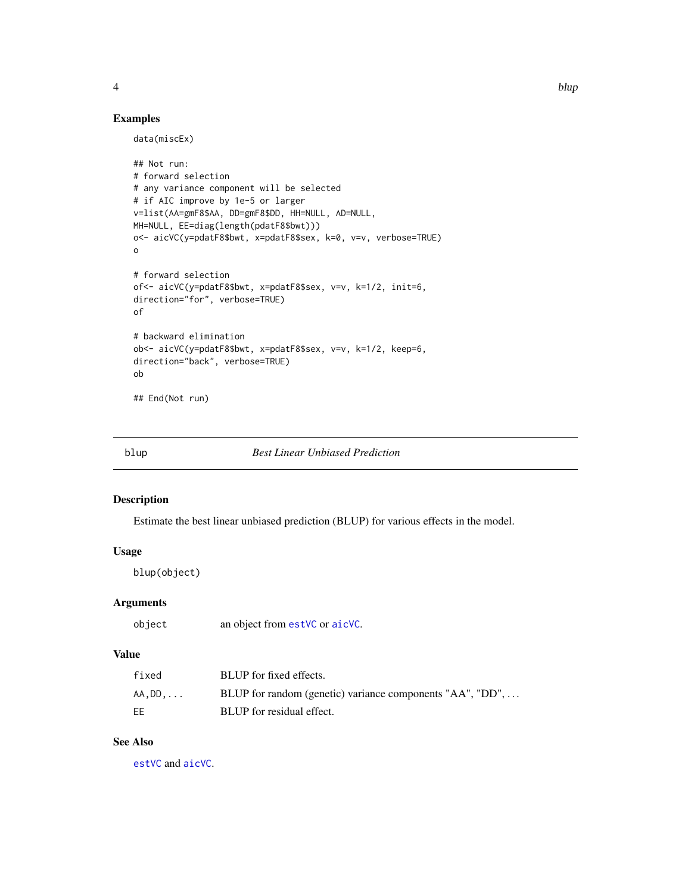<span id="page-3-0"></span>

# Examples

data(miscEx)

```
## Not run:
# forward selection
# any variance component will be selected
# if AIC improve by 1e-5 or larger
v=list(AA=gmF8$AA, DD=gmF8$DD, HH=NULL, AD=NULL,
MH=NULL, EE=diag(length(pdatF8$bwt)))
o<- aicVC(y=pdatF8$bwt, x=pdatF8$sex, k=0, v=v, verbose=TRUE)
o
# forward selection
of<- aicVC(y=pdatF8$bwt, x=pdatF8$sex, v=v, k=1/2, init=6,
direction="for", verbose=TRUE)
of
# backward elimination
ob<- aicVC(y=pdatF8$bwt, x=pdatF8$sex, v=v, k=1/2, keep=6,
direction="back", verbose=TRUE)
ob
## End(Not run)
```
blup *Best Linear Unbiased Prediction*

#### Description

Estimate the best linear unbiased prediction (BLUP) for various effects in the model.

# Usage

blup(object)

# Arguments

#### Value

| fixed | BLUP for fixed effects.                                   |
|-------|-----------------------------------------------------------|
| AA.DD | BLUP for random (genetic) variance components "AA", "DD", |
| EЕ    | BLUP for residual effect.                                 |

# See Also

[estVC](#page-5-1) and [aicVC](#page-1-1).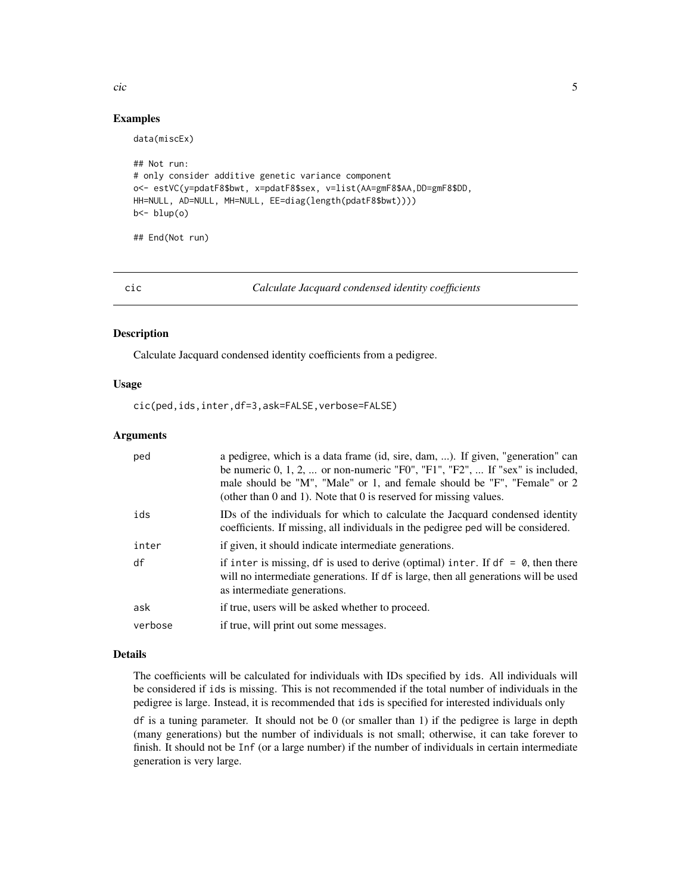#### <span id="page-4-0"></span>cic 5 and 5 and 5 and 5 and 5 and 5 and 5 and 5 and 5 and 5 and 5 and 5 and 5 and 5 and 5 and 5 and 5 and 5 and 5 and 5 and 5 and 5 and 5 and 5 and 5 and 5 and 5 and 5 and 5 and 5 and 5 and 5 and 5 and 5 and 5 and 5 and 5

### Examples

```
## Not run:
# only consider additive genetic variance component
o<- estVC(y=pdatF8$bwt, x=pdatF8$sex, v=list(AA=gmF8$AA,DD=gmF8$DD,
HH=NULL, AD=NULL, MH=NULL, EE=diag(length(pdatF8$bwt))))
b<- blup(o)
```
## End(Not run)

data(miscEx)

<span id="page-4-1"></span>cic *Calculate Jacquard condensed identity coefficients*

# Description

Calculate Jacquard condensed identity coefficients from a pedigree.

# Usage

cic(ped,ids,inter,df=3,ask=FALSE,verbose=FALSE)

# Arguments

| ped     | a pedigree, which is a data frame (id, sire, dam, ). If given, "generation" can<br>be numeric $0, 1, 2, \ldots$ or non-numeric "F0", "F1", "F2", $\ldots$ If "sex" is included,<br>male should be "M", "Male" or 1, and female should be "F", "Female" or 2<br>(other than 0 and 1). Note that 0 is reserved for missing values. |
|---------|----------------------------------------------------------------------------------------------------------------------------------------------------------------------------------------------------------------------------------------------------------------------------------------------------------------------------------|
| ids     | IDs of the individuals for which to calculate the Jacquard condensed identity<br>coefficients. If missing, all individuals in the pedigree ped will be considered.                                                                                                                                                               |
| inter   | if given, it should indicate intermediate generations.                                                                                                                                                                                                                                                                           |
| df      | if inter is missing, df is used to derive (optimal) inter. If $df = 0$ , then there<br>will no intermediate generations. If df is large, then all generations will be used<br>as intermediate generations.                                                                                                                       |
| ask     | if true, users will be asked whether to proceed.                                                                                                                                                                                                                                                                                 |
| verbose | if true, will print out some messages.                                                                                                                                                                                                                                                                                           |

#### Details

The coefficients will be calculated for individuals with IDs specified by ids. All individuals will be considered if ids is missing. This is not recommended if the total number of individuals in the pedigree is large. Instead, it is recommended that ids is specified for interested individuals only

 $df$  is a tuning parameter. It should not be 0 (or smaller than 1) if the pedigree is large in depth (many generations) but the number of individuals is not small; otherwise, it can take forever to finish. It should not be Inf (or a large number) if the number of individuals in certain intermediate generation is very large.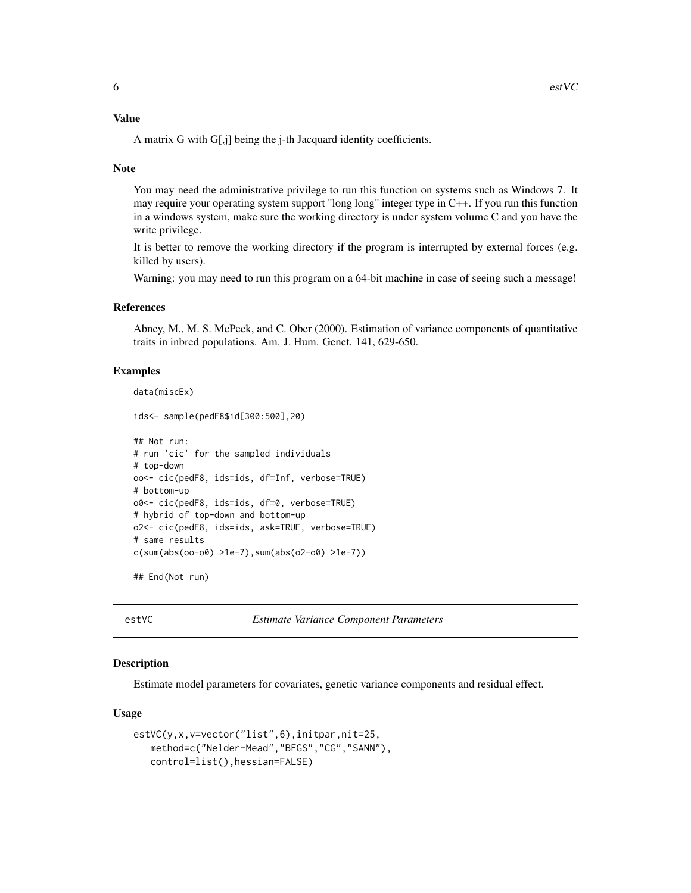#### <span id="page-5-0"></span>Value

A matrix G with G[,j] being the j-th Jacquard identity coefficients.

#### Note

You may need the administrative privilege to run this function on systems such as Windows 7. It may require your operating system support "long long" integer type in C++. If you run this function in a windows system, make sure the working directory is under system volume C and you have the write privilege.

It is better to remove the working directory if the program is interrupted by external forces (e.g. killed by users).

Warning: you may need to run this program on a 64-bit machine in case of seeing such a message!

#### References

Abney, M., M. S. McPeek, and C. Ober (2000). Estimation of variance components of quantitative traits in inbred populations. Am. J. Hum. Genet. 141, 629-650.

#### Examples

```
data(miscEx)
```
ids<- sample(pedF8\$id[300:500],20)

```
## Not run:
# run 'cic' for the sampled individuals
# top-down
oo<- cic(pedF8, ids=ids, df=Inf, verbose=TRUE)
# bottom-up
o0<- cic(pedF8, ids=ids, df=0, verbose=TRUE)
# hybrid of top-down and bottom-up
o2<- cic(pedF8, ids=ids, ask=TRUE, verbose=TRUE)
# same results
c(sum(abs(oo-o0) >1e-7),sum(abs(o2-o0) >1e-7))
```
## End(Not run)

<span id="page-5-1"></span>estVC *Estimate Variance Component Parameters*

#### Description

Estimate model parameters for covariates, genetic variance components and residual effect.

#### Usage

```
estVC(y,x,v=vector("list",6),initpar,nit=25,
   method=c("Nelder-Mead","BFGS","CG","SANN"),
   control=list(),hessian=FALSE)
```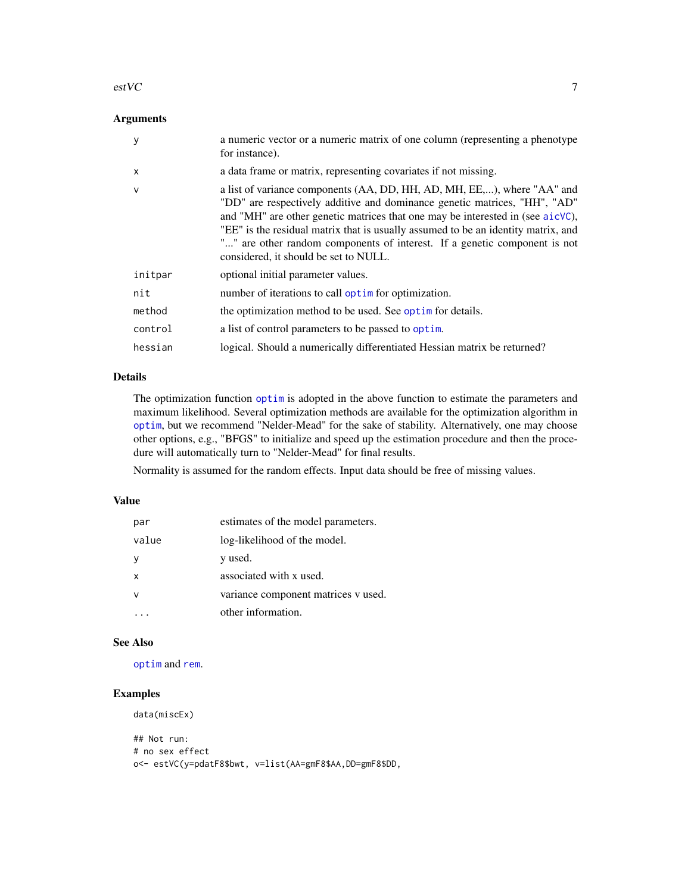#### <span id="page-6-0"></span> $\text{estVC}$  7

# Arguments

| y            | a numeric vector or a numeric matrix of one column (representing a phenotype<br>for instance).                                                                                                                                                                                                                                                                                                                                                    |
|--------------|---------------------------------------------------------------------------------------------------------------------------------------------------------------------------------------------------------------------------------------------------------------------------------------------------------------------------------------------------------------------------------------------------------------------------------------------------|
| $\mathsf{x}$ | a data frame or matrix, representing covariates if not missing.                                                                                                                                                                                                                                                                                                                                                                                   |
| $\mathsf{v}$ | a list of variance components (AA, DD, HH, AD, MH, EE,), where "AA" and<br>"DD" are respectively additive and dominance genetic matrices, "HH", "AD"<br>and "MH" are other genetic matrices that one may be interested in (see aicVC),<br>"EE" is the residual matrix that is usually assumed to be an identity matrix, and<br>"" are other random components of interest. If a genetic component is not<br>considered, it should be set to NULL. |
| initpar      | optional initial parameter values.                                                                                                                                                                                                                                                                                                                                                                                                                |
| nit          | number of iterations to call optime for optimization.                                                                                                                                                                                                                                                                                                                                                                                             |
| method       | the optimization method to be used. See optim for details.                                                                                                                                                                                                                                                                                                                                                                                        |
| control      | a list of control parameters to be passed to optim.                                                                                                                                                                                                                                                                                                                                                                                               |
| hessian      | logical. Should a numerically differentiated Hessian matrix be returned?                                                                                                                                                                                                                                                                                                                                                                          |

# Details

The optimization function [optim](#page-0-0) is adopted in the above function to estimate the parameters and maximum likelihood. Several optimization methods are available for the optimization algorithm in [optim](#page-0-0), but we recommend "Nelder-Mead" for the sake of stability. Alternatively, one may choose other options, e.g., "BFGS" to initialize and speed up the estimation procedure and then the procedure will automatically turn to "Nelder-Mead" for final results.

Normality is assumed for the random effects. Input data should be free of missing values.

#### Value

| par          | estimates of the model parameters.  |
|--------------|-------------------------------------|
| value        | log-likelihood of the model.        |
| У            | y used.                             |
| $\mathsf{x}$ | associated with x used.             |
| $\mathsf{v}$ | variance component matrices v used. |
|              | other information.                  |

#### See Also

[optim](#page-0-0) and [rem](#page-30-1).

# Examples

data(miscEx)

```
## Not run:
# no sex effect
o<- estVC(y=pdatF8$bwt, v=list(AA=gmF8$AA,DD=gmF8$DD,
```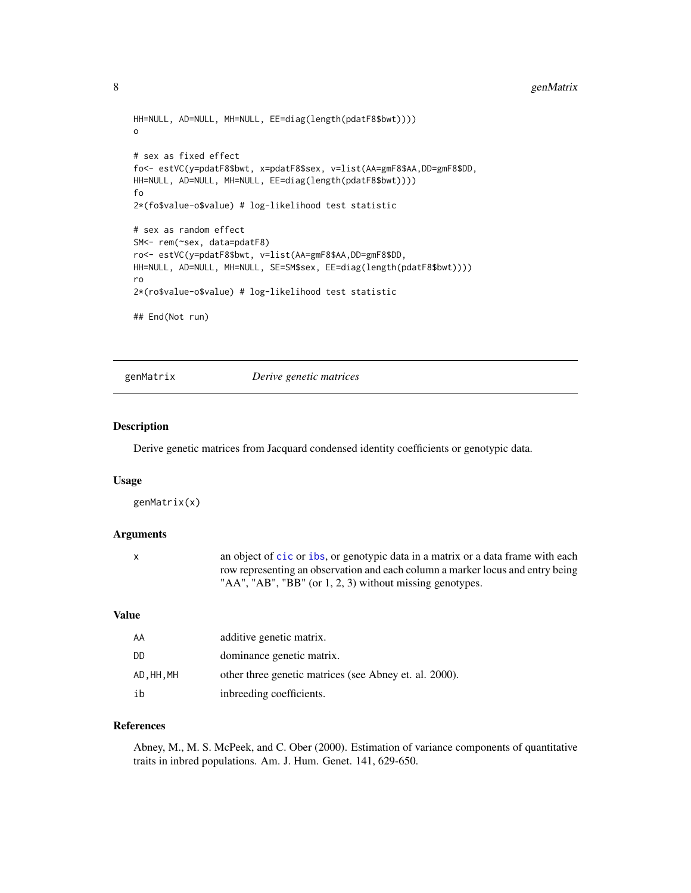```
HH=NULL, AD=NULL, MH=NULL, EE=diag(length(pdatF8$bwt))))
o
# sex as fixed effect
fo<- estVC(y=pdatF8$bwt, x=pdatF8$sex, v=list(AA=gmF8$AA,DD=gmF8$DD,
HH=NULL, AD=NULL, MH=NULL, EE=diag(length(pdatF8$bwt))))
fo
2*(fo$value-o$value) # log-likelihood test statistic
# sex as random effect
SM<- rem(~sex, data=pdatF8)
ro<- estVC(y=pdatF8$bwt, v=list(AA=gmF8$AA,DD=gmF8$DD,
HH=NULL, AD=NULL, MH=NULL, SE=SM$sex, EE=diag(length(pdatF8$bwt))))
ro
2*(ro$value-o$value) # log-likelihood test statistic
## End(Not run)
```
<span id="page-7-1"></span>genMatrix *Derive genetic matrices*

# Description

Derive genetic matrices from Jacquard condensed identity coefficients or genotypic data.

#### Usage

genMatrix(x)

# Arguments

| an object of cic or ibs, or genotypic data in a matrix or a data frame with each |
|----------------------------------------------------------------------------------|
| row representing an observation and each column a marker locus and entry being   |
| "AA", "AB", "BB" (or 1, 2, 3) without missing genotypes.                         |

#### Value

| AA       | additive genetic matrix.                               |
|----------|--------------------------------------------------------|
| DD       | dominance genetic matrix.                              |
| AD.HH.MH | other three genetic matrices (see Abney et. al. 2000). |
| ih       | inbreeding coefficients.                               |

# References

Abney, M., M. S. McPeek, and C. Ober (2000). Estimation of variance components of quantitative traits in inbred populations. Am. J. Hum. Genet. 141, 629-650.

<span id="page-7-0"></span>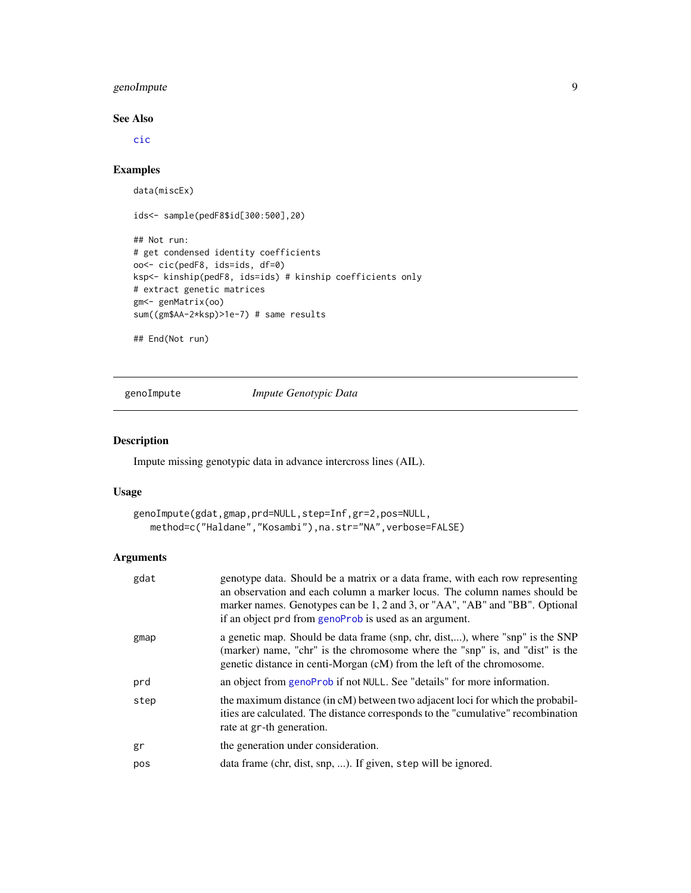# <span id="page-8-0"></span>genoImpute 9

#### See Also

[cic](#page-4-1)

# Examples

```
data(miscEx)
```

```
ids<- sample(pedF8$id[300:500],20)
```

```
## Not run:
# get condensed identity coefficients
oo<- cic(pedF8, ids=ids, df=0)
ksp<- kinship(pedF8, ids=ids) # kinship coefficients only
# extract genetic matrices
gm<- genMatrix(oo)
sum((gm$AA-2*ksp)>1e-7) # same results
```

```
## End(Not run)
```
<span id="page-8-1"></span>genoImpute *Impute Genotypic Data*

# Description

Impute missing genotypic data in advance intercross lines (AIL).

#### Usage

```
genoImpute(gdat,gmap,prd=NULL,step=Inf,gr=2,pos=NULL,
  method=c("Haldane","Kosambi"),na.str="NA",verbose=FALSE)
```
# Arguments

| gdat | genotype data. Should be a matrix or a data frame, with each row representing<br>an observation and each column a marker locus. The column names should be<br>marker names. Genotypes can be 1, 2 and 3, or "AA", "AB" and "BB". Optional<br>if an object prd from genoProb is used as an argument. |
|------|-----------------------------------------------------------------------------------------------------------------------------------------------------------------------------------------------------------------------------------------------------------------------------------------------------|
| gmap | a genetic map. Should be data frame (snp, chr, dist,), where "snp" is the SNP<br>(marker) name, "chr" is the chromosome where the "snp" is, and "dist" is the<br>genetic distance in centi-Morgan (cM) from the left of the chromosome.                                                             |
| prd  | an object from genoProb if not NULL. See "details" for more information.                                                                                                                                                                                                                            |
| step | the maximum distance (in cM) between two adjacent loci for which the probabil-<br>ities are calculated. The distance corresponds to the "cumulative" recombination<br>rate at gr-th generation.                                                                                                     |
| gr   | the generation under consideration.                                                                                                                                                                                                                                                                 |
| pos  | data frame (chr, dist, snp, ). If given, step will be ignored.                                                                                                                                                                                                                                      |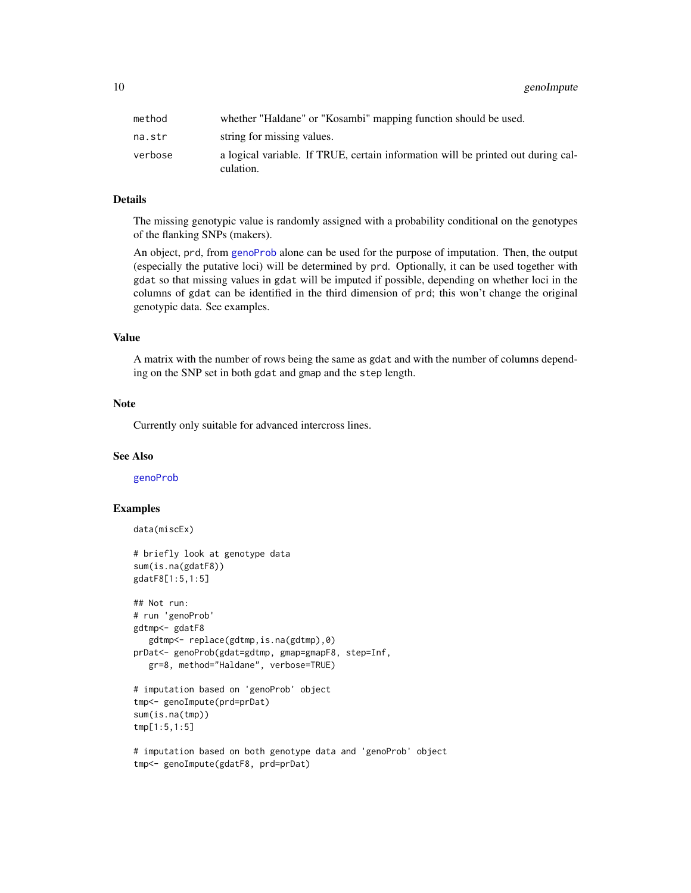<span id="page-9-0"></span>10 genoImpute

| method  | whether "Haldane" or "Kosambi" mapping function should be used.                               |
|---------|-----------------------------------------------------------------------------------------------|
| na.str  | string for missing values.                                                                    |
| verbose | a logical variable. If TRUE, certain information will be printed out during cal-<br>culation. |

# Details

The missing genotypic value is randomly assigned with a probability conditional on the genotypes of the flanking SNPs (makers).

An object, prd, from [genoProb](#page-10-1) alone can be used for the purpose of imputation. Then, the output (especially the putative loci) will be determined by prd. Optionally, it can be used together with gdat so that missing values in gdat will be imputed if possible, depending on whether loci in the columns of gdat can be identified in the third dimension of prd; this won't change the original genotypic data. See examples.

# Value

A matrix with the number of rows being the same as gdat and with the number of columns depending on the SNP set in both gdat and gmap and the step length.

#### Note

Currently only suitable for advanced intercross lines.

#### See Also

[genoProb](#page-10-1)

# Examples

data(miscEx)

```
# briefly look at genotype data
sum(is.na(gdatF8))
gdatF8[1:5,1:5]
```

```
## Not run:
# run 'genoProb'
gdtmp<- gdatF8
  gdtmp<- replace(gdtmp,is.na(gdtmp),0)
prDat<- genoProb(gdat=gdtmp, gmap=gmapF8, step=Inf,
  gr=8, method="Haldane", verbose=TRUE)
```

```
# imputation based on 'genoProb' object
tmp<- genoImpute(prd=prDat)
sum(is.na(tmp))
tmp[1:5,1:5]
```

```
# imputation based on both genotype data and 'genoProb' object
tmp<- genoImpute(gdatF8, prd=prDat)
```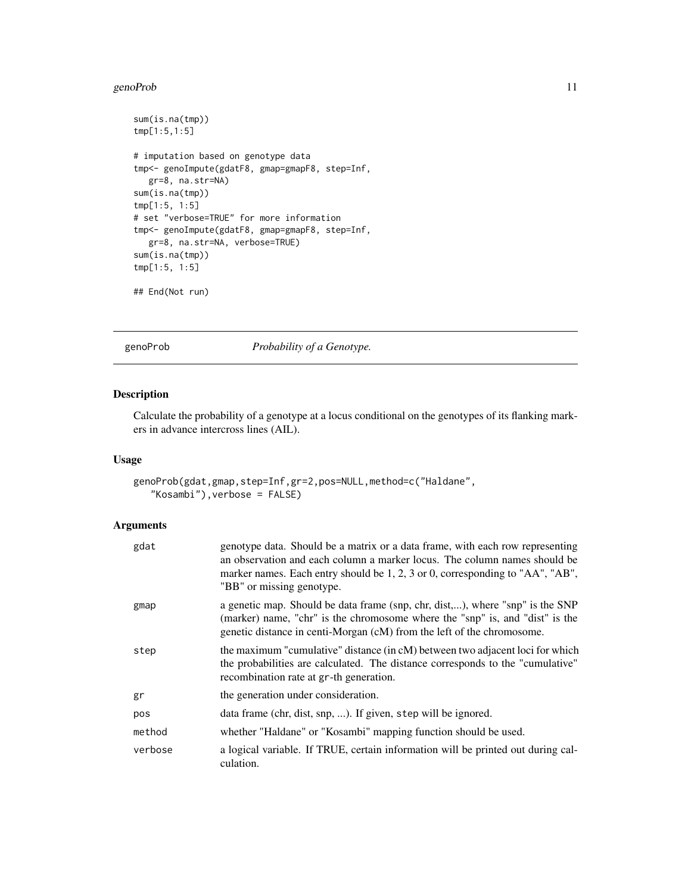#### <span id="page-10-0"></span>genoProb 11

```
sum(is.na(tmp))
tmp[1:5,1:5]
# imputation based on genotype data
tmp<- genoImpute(gdatF8, gmap=gmapF8, step=Inf,
  gr=8, na.str=NA)
sum(is.na(tmp))
tmp[1:5, 1:5]
# set "verbose=TRUE" for more information
tmp<- genoImpute(gdatF8, gmap=gmapF8, step=Inf,
  gr=8, na.str=NA, verbose=TRUE)
sum(is.na(tmp))
tmp[1:5, 1:5]
```

```
## End(Not run)
```
<span id="page-10-1"></span>

genoProb *Probability of a Genotype.*

# Description

Calculate the probability of a genotype at a locus conditional on the genotypes of its flanking markers in advance intercross lines (AIL).

# Usage

```
genoProb(gdat,gmap,step=Inf,gr=2,pos=NULL,method=c("Haldane",
   "Kosambi"),verbose = FALSE)
```
# Arguments

| gdat    | genotype data. Should be a matrix or a data frame, with each row representing<br>an observation and each column a marker locus. The column names should be<br>marker names. Each entry should be $1, 2, 3$ or 0, corresponding to "AA", "AB",<br>"BB" or missing genotype. |
|---------|----------------------------------------------------------------------------------------------------------------------------------------------------------------------------------------------------------------------------------------------------------------------------|
| gmap    | a genetic map. Should be data frame (snp, chr, dist,), where "snp" is the SNP<br>(marker) name, "chr" is the chromosome where the "snp" is, and "dist" is the<br>genetic distance in centi-Morgan (cM) from the left of the chromosome.                                    |
| step    | the maximum "cumulative" distance (in cM) between two adjacent loci for which<br>the probabilities are calculated. The distance corresponds to the "cumulative"<br>recombination rate at gr-th generation.                                                                 |
| gr      | the generation under consideration.                                                                                                                                                                                                                                        |
| pos     | data frame (chr, dist, snp, ). If given, step will be ignored.                                                                                                                                                                                                             |
| method  | whether "Haldane" or "Kosambi" mapping function should be used.                                                                                                                                                                                                            |
| verbose | a logical variable. If TRUE, certain information will be printed out during cal-<br>culation.                                                                                                                                                                              |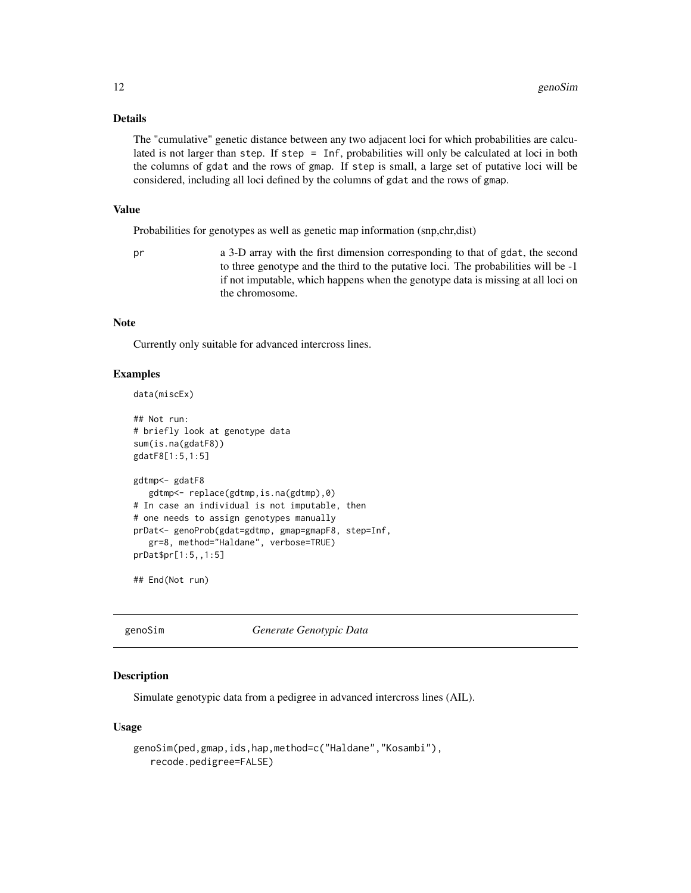#### Details

The "cumulative" genetic distance between any two adjacent loci for which probabilities are calculated is not larger than step. If step = Inf, probabilities will only be calculated at loci in both the columns of gdat and the rows of gmap. If step is small, a large set of putative loci will be considered, including all loci defined by the columns of gdat and the rows of gmap.

#### Value

Probabilities for genotypes as well as genetic map information (snp,chr,dist)

pr a 3-D array with the first dimension corresponding to that of gdat, the second to three genotype and the third to the putative loci. The probabilities will be -1 if not imputable, which happens when the genotype data is missing at all loci on the chromosome.

# Note

Currently only suitable for advanced intercross lines.

#### Examples

```
data(miscEx)
```

```
## Not run:
# briefly look at genotype data
sum(is.na(gdatF8))
gdatF8[1:5,1:5]
gdtmp<- gdatF8
  gdtmp<- replace(gdtmp,is.na(gdtmp),0)
# In case an individual is not imputable, then
# one needs to assign genotypes manually
prDat<- genoProb(gdat=gdtmp, gmap=gmapF8, step=Inf,
   gr=8, method="Haldane", verbose=TRUE)
prDat$pr[1:5,,1:5]
```
## End(Not run)

<span id="page-11-1"></span>

genoSim *Generate Genotypic Data*

# Description

Simulate genotypic data from a pedigree in advanced intercross lines (AIL).

#### Usage

```
genoSim(ped,gmap,ids,hap,method=c("Haldane","Kosambi"),
   recode.pedigree=FALSE)
```
<span id="page-11-0"></span>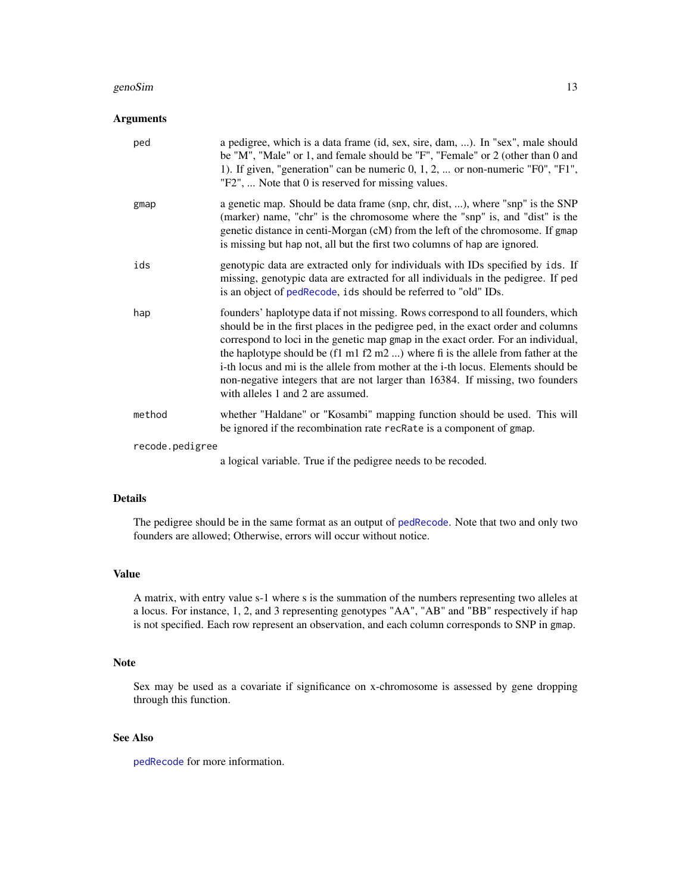#### <span id="page-12-0"></span>genoSim and the set of the set of the set of the set of the set of the set of the set of the set of the set of the set of the set of the set of the set of the set of the set of the set of the set of the set of the set of t

# Arguments

| a genetic map. Should be data frame (snp, chr, dist, ), where "snp" is the SNP<br>gmap<br>(marker) name, "chr" is the chromosome where the "snp" is, and "dist" is the<br>genetic distance in centi-Morgan (cM) from the left of the chromosome. If gmap<br>is missing but hap not, all but the first two columns of hap are ignored.<br>genotypic data are extracted only for individuals with IDs specified by ids. If<br>ids<br>missing, genotypic data are extracted for all individuals in the pedigree. If ped<br>is an object of pedRecode, ids should be referred to "old" IDs.<br>founders' haplotype data if not missing. Rows correspond to all founders, which<br>hap<br>should be in the first places in the pedigree ped, in the exact order and columns<br>correspond to loci in the genetic map gmap in the exact order. For an individual,<br>the haplotype should be $(f1 \text{ m}1 f2 \text{ m}2 )$ where fi is the allele from father at the<br>i-th locus and mi is the allele from mother at the i-th locus. Elements should be<br>non-negative integers that are not larger than 16384. If missing, two founders<br>with alleles 1 and 2 are assumed.<br>method<br>whether "Haldane" or "Kosambi" mapping function should be used. This will<br>be ignored if the recombination rate recRate is a component of gmap.<br>recode.pedigree<br>a logical variable. True if the pediarea peads to be research | ped | a pedigree, which is a data frame (id, sex, sire, dam, ). In "sex", male should<br>be "M", "Male" or 1, and female should be "F", "Female" or 2 (other than 0 and<br>1). If given, "generation" can be numeric $0, 1, 2, \ldots$ or non-numeric "F0", "F1",<br>"F2",  Note that 0 is reserved for missing values. |
|----------------------------------------------------------------------------------------------------------------------------------------------------------------------------------------------------------------------------------------------------------------------------------------------------------------------------------------------------------------------------------------------------------------------------------------------------------------------------------------------------------------------------------------------------------------------------------------------------------------------------------------------------------------------------------------------------------------------------------------------------------------------------------------------------------------------------------------------------------------------------------------------------------------------------------------------------------------------------------------------------------------------------------------------------------------------------------------------------------------------------------------------------------------------------------------------------------------------------------------------------------------------------------------------------------------------------------------------------------------------------------------------------------------------------------|-----|-------------------------------------------------------------------------------------------------------------------------------------------------------------------------------------------------------------------------------------------------------------------------------------------------------------------|
|                                                                                                                                                                                                                                                                                                                                                                                                                                                                                                                                                                                                                                                                                                                                                                                                                                                                                                                                                                                                                                                                                                                                                                                                                                                                                                                                                                                                                                  |     |                                                                                                                                                                                                                                                                                                                   |
|                                                                                                                                                                                                                                                                                                                                                                                                                                                                                                                                                                                                                                                                                                                                                                                                                                                                                                                                                                                                                                                                                                                                                                                                                                                                                                                                                                                                                                  |     |                                                                                                                                                                                                                                                                                                                   |
|                                                                                                                                                                                                                                                                                                                                                                                                                                                                                                                                                                                                                                                                                                                                                                                                                                                                                                                                                                                                                                                                                                                                                                                                                                                                                                                                                                                                                                  |     |                                                                                                                                                                                                                                                                                                                   |
|                                                                                                                                                                                                                                                                                                                                                                                                                                                                                                                                                                                                                                                                                                                                                                                                                                                                                                                                                                                                                                                                                                                                                                                                                                                                                                                                                                                                                                  |     |                                                                                                                                                                                                                                                                                                                   |
|                                                                                                                                                                                                                                                                                                                                                                                                                                                                                                                                                                                                                                                                                                                                                                                                                                                                                                                                                                                                                                                                                                                                                                                                                                                                                                                                                                                                                                  |     |                                                                                                                                                                                                                                                                                                                   |

a logical variable. True if the pedigree needs to be recoded.

# Details

The pedigree should be in the same format as an output of [pedRecode](#page-23-1). Note that two and only two founders are allowed; Otherwise, errors will occur without notice.

# Value

A matrix, with entry value s-1 where s is the summation of the numbers representing two alleles at a locus. For instance, 1, 2, and 3 representing genotypes "AA", "AB" and "BB" respectively if hap is not specified. Each row represent an observation, and each column corresponds to SNP in gmap.

#### Note

Sex may be used as a covariate if significance on x-chromosome is assessed by gene dropping through this function.

# See Also

[pedRecode](#page-23-1) for more information.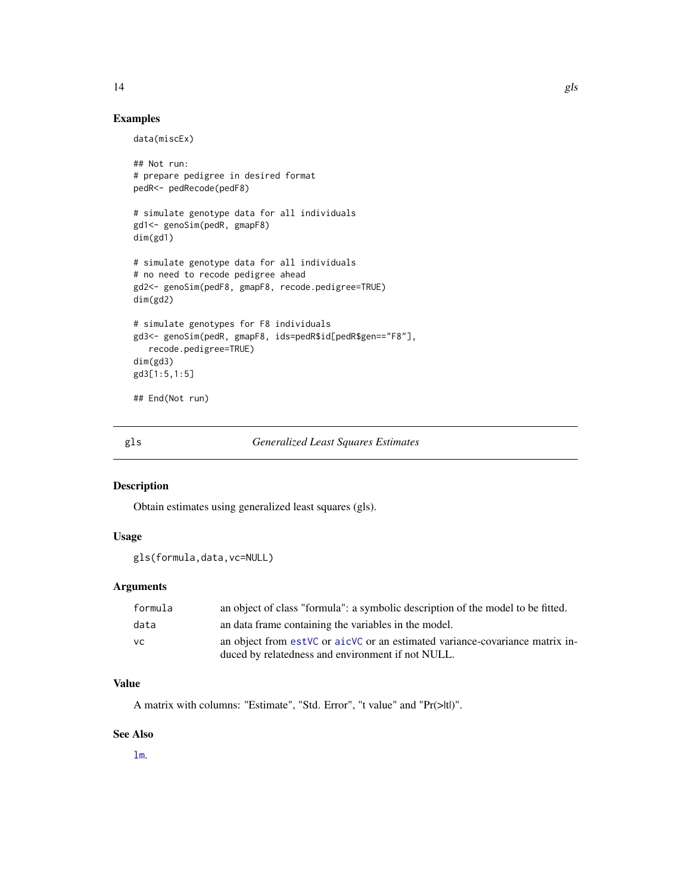# <span id="page-13-0"></span>Examples

```
data(miscEx)
```

```
## Not run:
# prepare pedigree in desired format
pedR<- pedRecode(pedF8)
# simulate genotype data for all individuals
gd1<- genoSim(pedR, gmapF8)
dim(gd1)
# simulate genotype data for all individuals
# no need to recode pedigree ahead
gd2<- genoSim(pedF8, gmapF8, recode.pedigree=TRUE)
dim(gd2)
# simulate genotypes for F8 individuals
gd3<- genoSim(pedR, gmapF8, ids=pedR$id[pedR$gen=="F8"],
  recode.pedigree=TRUE)
dim(gd3)
gd3[1:5,1:5]
## End(Not run)
```

```
gls Generalized Least Squares Estimates
```
#### Description

Obtain estimates using generalized least squares (gls).

#### Usage

```
gls(formula,data,vc=NULL)
```
#### Arguments

| formula | an object of class "formula": a symbolic description of the model to be fitted. |
|---------|---------------------------------------------------------------------------------|
| data    | an data frame containing the variables in the model.                            |
| VC.     | an object from est VC or aic VC or an estimated variance-covariance matrix in-  |
|         | duced by relatedness and environment if not NULL.                               |

#### Value

A matrix with columns: "Estimate", "Std. Error", "t value" and "Pr(>|t|)".

#### See Also

[lm](#page-0-0).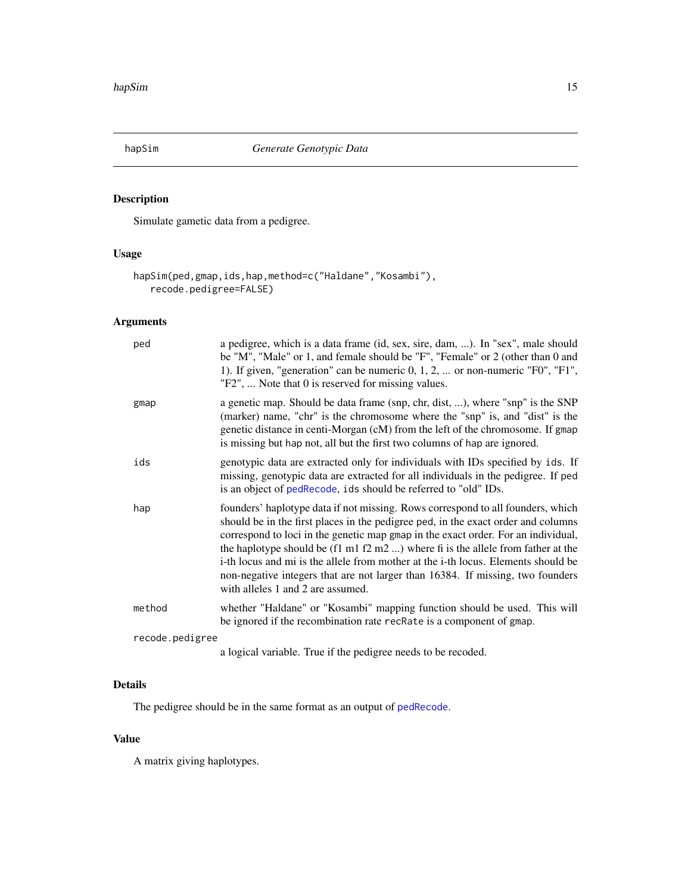<span id="page-14-0"></span>

Simulate gametic data from a pedigree.

# Usage

```
hapSim(ped,gmap,ids,hap,method=c("Haldane","Kosambi"),
   recode.pedigree=FALSE)
```
# Arguments

| ped             | a pedigree, which is a data frame (id, sex, sire, dam, ). In "sex", male should<br>be "M", "Male" or 1, and female should be "F", "Female" or 2 (other than 0 and<br>1). If given, "generation" can be numeric $0, 1, 2, \dots$ or non-numeric "F0", "F1",<br>"F2",  Note that 0 is reserved for missing values.                                                                                                                                                                                                                                                            |
|-----------------|-----------------------------------------------------------------------------------------------------------------------------------------------------------------------------------------------------------------------------------------------------------------------------------------------------------------------------------------------------------------------------------------------------------------------------------------------------------------------------------------------------------------------------------------------------------------------------|
| gmap            | a genetic map. Should be data frame (snp, chr, dist, ), where "snp" is the SNP<br>(marker) name, "chr" is the chromosome where the "snp" is, and "dist" is the<br>genetic distance in centi-Morgan (cM) from the left of the chromosome. If gmap<br>is missing but hap not, all but the first two columns of hap are ignored.                                                                                                                                                                                                                                               |
| ids             | genotypic data are extracted only for individuals with IDs specified by ids. If<br>missing, genotypic data are extracted for all individuals in the pedigree. If ped<br>is an object of pedRecode, ids should be referred to "old" IDs.                                                                                                                                                                                                                                                                                                                                     |
| hap             | founders' haplotype data if not missing. Rows correspond to all founders, which<br>should be in the first places in the pedigree ped, in the exact order and columns<br>correspond to loci in the genetic map gmap in the exact order. For an individual,<br>the haplotype should be $(f1 \text{ m}1 f2 \text{ m}2 )$ where fi is the allele from father at the<br>i-th locus and mi is the allele from mother at the i-th locus. Elements should be<br>non-negative integers that are not larger than 16384. If missing, two founders<br>with alleles 1 and 2 are assumed. |
| method          | whether "Haldane" or "Kosambi" mapping function should be used. This will<br>be ignored if the recombination rate recRate is a component of gmap.                                                                                                                                                                                                                                                                                                                                                                                                                           |
| recode.pedigree |                                                                                                                                                                                                                                                                                                                                                                                                                                                                                                                                                                             |
|                 | a logical variable. True if the pedigree needs to be recoded.                                                                                                                                                                                                                                                                                                                                                                                                                                                                                                               |

# Details

The pedigree should be in the same format as an output of [pedRecode](#page-23-1).

# Value

A matrix giving haplotypes.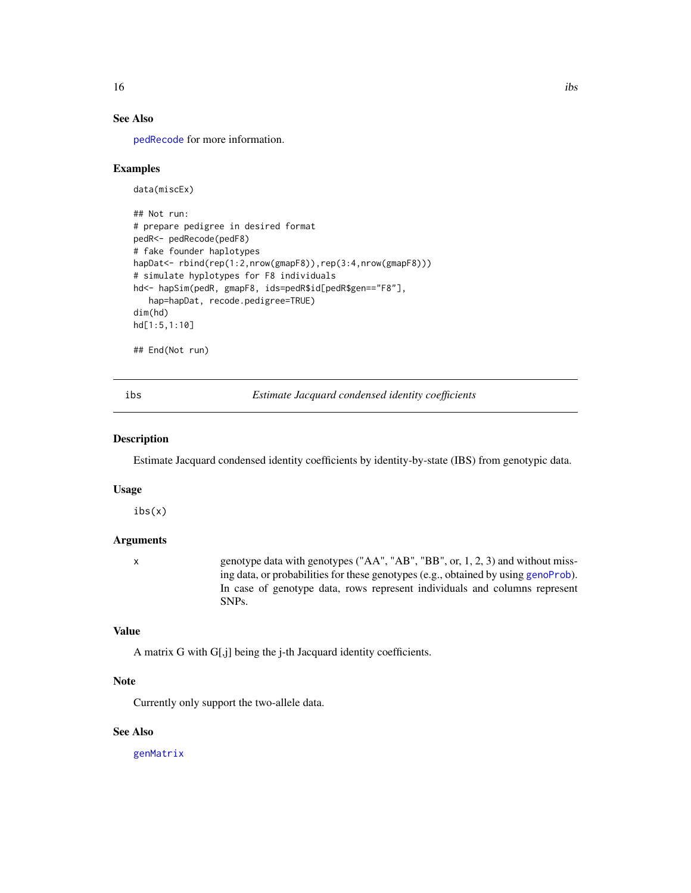<span id="page-15-0"></span>

# See Also

[pedRecode](#page-23-1) for more information.

#### Examples

```
data(miscEx)
## Not run:
# prepare pedigree in desired format
pedR<- pedRecode(pedF8)
# fake founder haplotypes
hapDat <- rbind(rep(1:2,nrow(gmapF8)),rep(3:4,nrow(gmapF8)))
# simulate hyplotypes for F8 individuals
hd<- hapSim(pedR, gmapF8, ids=pedR$id[pedR$gen=="F8"],
  hap=hapDat, recode.pedigree=TRUE)
dim(hd)
hd[1:5,1:10]
## End(Not run)
```
<span id="page-15-1"></span>ibs *Estimate Jacquard condensed identity coefficients*

#### Description

Estimate Jacquard condensed identity coefficients by identity-by-state (IBS) from genotypic data.

#### Usage

ibs(x)

# Arguments

x genotype data with genotypes ("AA", "AB", "BB", or, 1, 2, 3) and without missing data, or probabilities for these genotypes (e.g., obtained by using [genoProb](#page-10-1)). In case of genotype data, rows represent individuals and columns represent SNPs.

#### Value

A matrix G with G[,j] being the j-th Jacquard identity coefficients.

#### Note

Currently only support the two-allele data.

# See Also

[genMatrix](#page-7-1)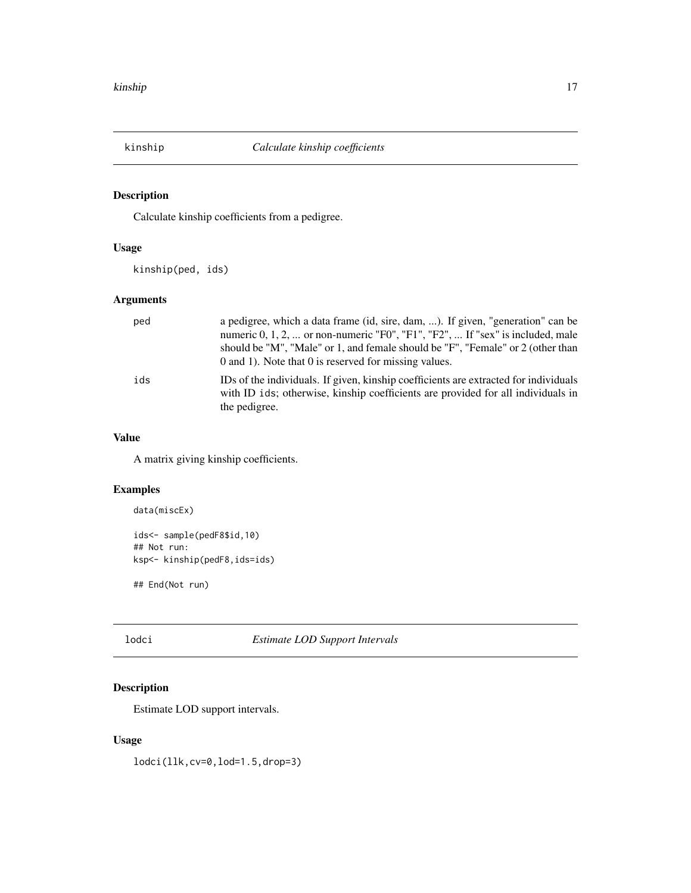<span id="page-16-0"></span>

Calculate kinship coefficients from a pedigree.

# Usage

kinship(ped, ids)

# Arguments

| ped | a pedigree, which a data frame (id, sire, dam, ). If given, "generation" can be<br>numeric 0, 1, 2,  or non-numeric "F0", "F1", "F2",  If "sex" is included, male<br>should be "M", "Male" or 1, and female should be "F", "Female" or 2 (other than<br>0 and 1). Note that 0 is reserved for missing values. |
|-----|---------------------------------------------------------------------------------------------------------------------------------------------------------------------------------------------------------------------------------------------------------------------------------------------------------------|
| ids | IDs of the individuals. If given, kinship coefficients are extracted for individuals<br>with ID ids; otherwise, kinship coefficients are provided for all individuals in<br>the pedigree.                                                                                                                     |

#### Value

A matrix giving kinship coefficients.

# Examples

```
data(miscEx)
```

```
ids<- sample(pedF8$id,10)
## Not run:
ksp<- kinship(pedF8,ids=ids)
```
## End(Not run)

# lodci *Estimate LOD Support Intervals*

# Description

Estimate LOD support intervals.

# Usage

lodci(llk,cv=0,lod=1.5,drop=3)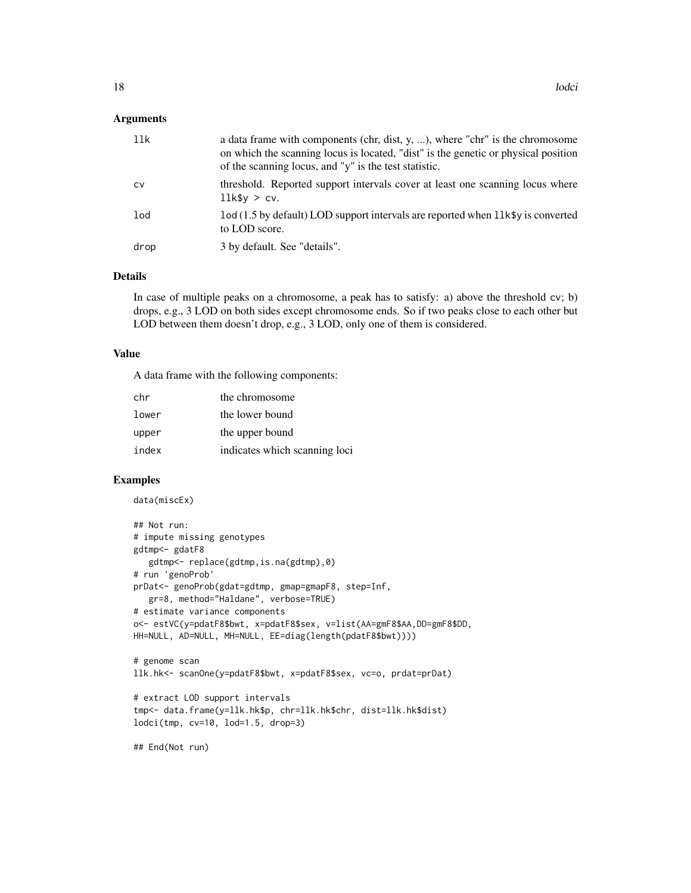#### Arguments

| 11k  | a data frame with components (chr, dist, $y, \ldots$ ), where "chr" is the chromosome<br>on which the scanning locus is located, "dist" is the genetic or physical position<br>of the scanning locus, and "y" is the test statistic. |
|------|--------------------------------------------------------------------------------------------------------------------------------------------------------------------------------------------------------------------------------------|
| CV   | threshold. Reported support intervals cover at least one scanning locus where<br>$11k$ \$y > cv.                                                                                                                                     |
| lod  | lod (1.5 by default) LOD support intervals are reported when llk\$y is converted<br>to LOD score.                                                                                                                                    |
| drop | 3 by default. See "details".                                                                                                                                                                                                         |

#### Details

In case of multiple peaks on a chromosome, a peak has to satisfy: a) above the threshold cv; b) drops, e.g., 3 LOD on both sides except chromosome ends. So if two peaks close to each other but LOD between them doesn't drop, e.g., 3 LOD, only one of them is considered.

#### Value

A data frame with the following components:

| chr   | the chromosome                |
|-------|-------------------------------|
| lower | the lower bound               |
| upper | the upper bound               |
| index | indicates which scanning loci |

#### Examples

data(miscEx)

```
## Not run:
# impute missing genotypes
gdtmp<- gdatF8
  gdtmp<- replace(gdtmp,is.na(gdtmp),0)
# run 'genoProb'
prDat<- genoProb(gdat=gdtmp, gmap=gmapF8, step=Inf,
  gr=8, method="Haldane", verbose=TRUE)
# estimate variance components
o<- estVC(y=pdatF8$bwt, x=pdatF8$sex, v=list(AA=gmF8$AA,DD=gmF8$DD,
HH=NULL, AD=NULL, MH=NULL, EE=diag(length(pdatF8$bwt))))
# genome scan
llk.hk<- scanOne(y=pdatF8$bwt, x=pdatF8$sex, vc=o, prdat=prDat)
# extract LOD support intervals
tmp<- data.frame(y=llk.hk$p, chr=llk.hk$chr, dist=llk.hk$dist)
lodci(tmp, cv=10, lod=1.5, drop=3)
```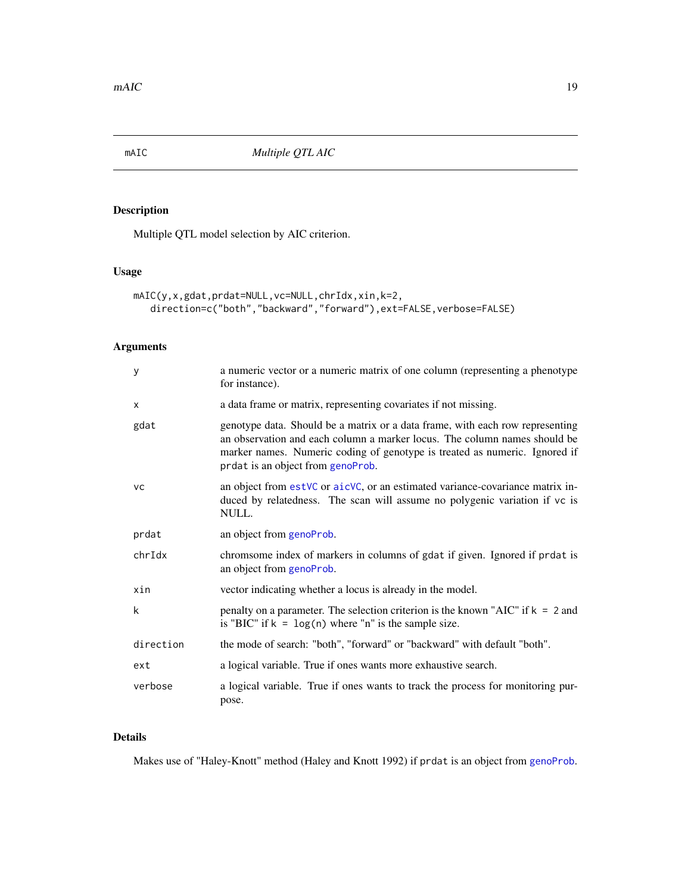<span id="page-18-0"></span>

Multiple QTL model selection by AIC criterion.

# Usage

```
mAIC(y,x,gdat,prdat=NULL,vc=NULL,chrIdx,xin,k=2,
   direction=c("both","backward","forward"),ext=FALSE,verbose=FALSE)
```
# Arguments

| У         | a numeric vector or a numeric matrix of one column (representing a phenotype<br>for instance).                                                                                                                                                                                |
|-----------|-------------------------------------------------------------------------------------------------------------------------------------------------------------------------------------------------------------------------------------------------------------------------------|
| X         | a data frame or matrix, representing covariates if not missing.                                                                                                                                                                                                               |
| gdat      | genotype data. Should be a matrix or a data frame, with each row representing<br>an observation and each column a marker locus. The column names should be<br>marker names. Numeric coding of genotype is treated as numeric. Ignored if<br>prdat is an object from genoProb. |
| <b>VC</b> | an object from estVC or aicVC, or an estimated variance-covariance matrix in-<br>duced by relatedness. The scan will assume no polygenic variation if vc is<br>NULL.                                                                                                          |
| prdat     | an object from genoProb.                                                                                                                                                                                                                                                      |
| chrIdx    | chromsome index of markers in columns of gdat if given. Ignored if prdat is<br>an object from genoProb.                                                                                                                                                                       |
| xin       | vector indicating whether a locus is already in the model.                                                                                                                                                                                                                    |
| k         | penalty on a parameter. The selection criterion is the known "AIC" if $k = 2$ and<br>is "BIC" if $k = \log(n)$ where "n" is the sample size.                                                                                                                                  |
| direction | the mode of search: "both", "forward" or "backward" with default "both".                                                                                                                                                                                                      |
| ext       | a logical variable. True if ones wants more exhaustive search.                                                                                                                                                                                                                |
| verbose   | a logical variable. True if ones wants to track the process for monitoring pur-<br>pose.                                                                                                                                                                                      |

# Details

Makes use of "Haley-Knott" method (Haley and Knott 1992) if prdat is an object from [genoProb](#page-10-1).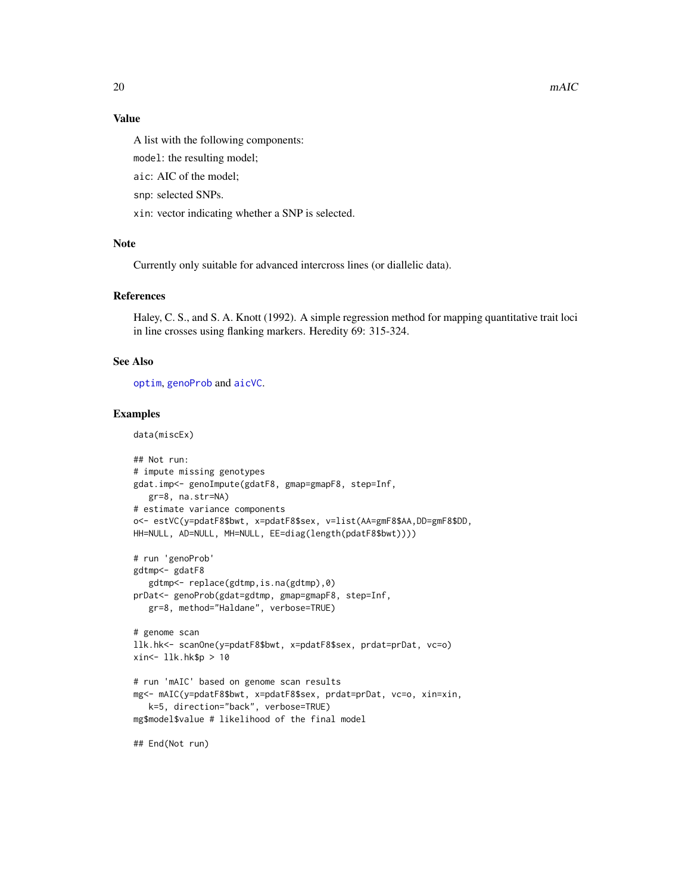# <span id="page-19-0"></span>Value

A list with the following components:

model: the resulting model;

aic: AIC of the model;

snp: selected SNPs.

xin: vector indicating whether a SNP is selected.

#### Note

Currently only suitable for advanced intercross lines (or diallelic data).

### References

Haley, C. S., and S. A. Knott (1992). A simple regression method for mapping quantitative trait loci in line crosses using flanking markers. Heredity 69: 315-324.

# See Also

[optim](#page-0-0), [genoProb](#page-10-1) and [aicVC](#page-1-1).

#### Examples

data(miscEx)

```
## Not run:
# impute missing genotypes
gdat.imp<- genoImpute(gdatF8, gmap=gmapF8, step=Inf,
  gr=8, na.str=NA)
# estimate variance components
o<- estVC(y=pdatF8$bwt, x=pdatF8$sex, v=list(AA=gmF8$AA,DD=gmF8$DD,
HH=NULL, AD=NULL, MH=NULL, EE=diag(length(pdatF8$bwt))))
# run 'genoProb'
gdtmp<- gdatF8
  gdtmp<- replace(gdtmp,is.na(gdtmp),0)
prDat<- genoProb(gdat=gdtmp, gmap=gmapF8, step=Inf,
  gr=8, method="Haldane", verbose=TRUE)
# genome scan
llk.hk<- scanOne(y=pdatF8$bwt, x=pdatF8$sex, prdat=prDat, vc=o)
xin<- llk.hk$p > 10
# run 'mAIC' based on genome scan results
mg<- mAIC(y=pdatF8$bwt, x=pdatF8$sex, prdat=prDat, vc=o, xin=xin,
  k=5, direction="back", verbose=TRUE)
mg$model$value # likelihood of the final model
```
## End(Not run)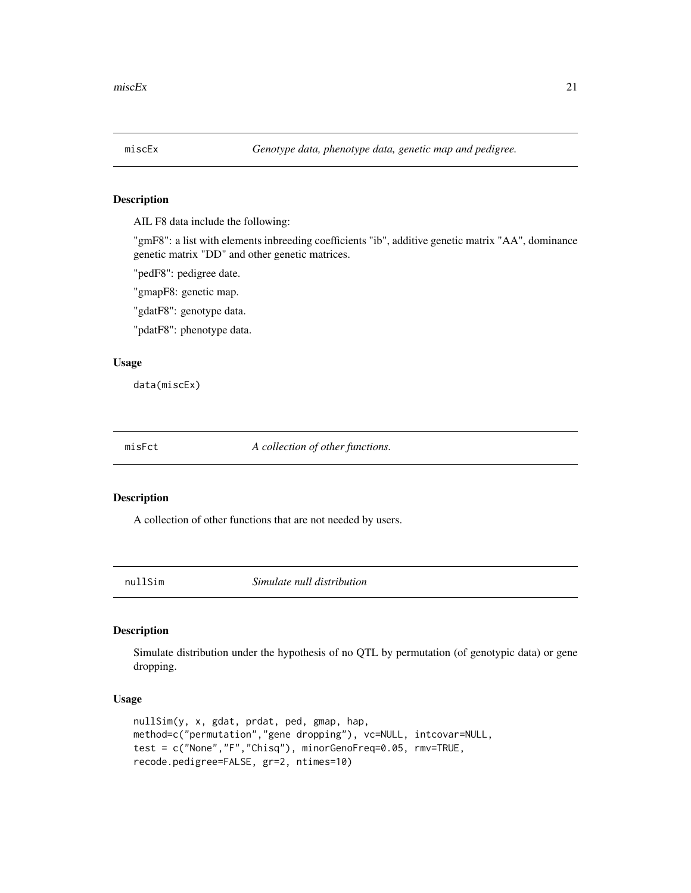<span id="page-20-0"></span>AIL F8 data include the following:

"gmF8": a list with elements inbreeding coefficients "ib", additive genetic matrix "AA", dominance genetic matrix "DD" and other genetic matrices.

"pedF8": pedigree date.

"gmapF8: genetic map.

"gdatF8": genotype data.

"pdatF8": phenotype data.

#### Usage

data(miscEx)

misFct *A collection of other functions.*

#### Description

A collection of other functions that are not needed by users.

nullSim *Simulate null distribution*

#### Description

Simulate distribution under the hypothesis of no QTL by permutation (of genotypic data) or gene dropping.

#### Usage

```
nullSim(y, x, gdat, prdat, ped, gmap, hap,
method=c("permutation","gene dropping"), vc=NULL, intcovar=NULL,
test = c("None","F","Chisq"), minorGenoFreq=0.05, rmv=TRUE,
recode.pedigree=FALSE, gr=2, ntimes=10)
```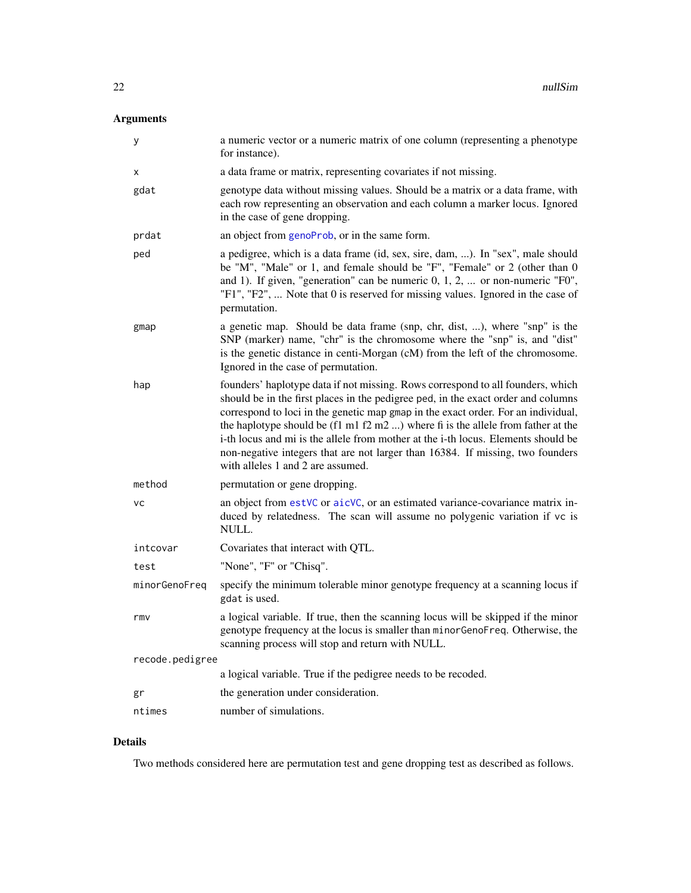# <span id="page-21-0"></span>Arguments

| У               | a numeric vector or a numeric matrix of one column (representing a phenotype<br>for instance).                                                                                                                                                                                                                                                                                                                                                                                                                                                                                |
|-----------------|-------------------------------------------------------------------------------------------------------------------------------------------------------------------------------------------------------------------------------------------------------------------------------------------------------------------------------------------------------------------------------------------------------------------------------------------------------------------------------------------------------------------------------------------------------------------------------|
| x               | a data frame or matrix, representing covariates if not missing.                                                                                                                                                                                                                                                                                                                                                                                                                                                                                                               |
| gdat            | genotype data without missing values. Should be a matrix or a data frame, with<br>each row representing an observation and each column a marker locus. Ignored<br>in the case of gene dropping.                                                                                                                                                                                                                                                                                                                                                                               |
| prdat           | an object from genoProb, or in the same form.                                                                                                                                                                                                                                                                                                                                                                                                                                                                                                                                 |
| ped             | a pedigree, which is a data frame (id, sex, sire, dam, ). In "sex", male should<br>be "M", "Male" or 1, and female should be "F", "Female" or 2 (other than 0<br>and 1). If given, "generation" can be numeric $0, 1, 2, $ or non-numeric "F0",<br>"F1", "F2",  Note that 0 is reserved for missing values. Ignored in the case of<br>permutation.                                                                                                                                                                                                                            |
| gmap            | a genetic map. Should be data frame (snp, chr, dist, ), where "snp" is the<br>SNP (marker) name, "chr" is the chromosome where the "snp" is, and "dist"<br>is the genetic distance in centi-Morgan (cM) from the left of the chromosome.<br>Ignored in the case of permutation.                                                                                                                                                                                                                                                                                               |
| hap             | founders' haplotype data if not missing. Rows correspond to all founders, which<br>should be in the first places in the pedigree ped, in the exact order and columns<br>correspond to loci in the genetic map gmap in the exact order. For an individual,<br>the haplotype should be $(f1 \text{ m} 1 f2 \text{ m} 2 )$ where fi is the allele from father at the<br>i-th locus and mi is the allele from mother at the i-th locus. Elements should be<br>non-negative integers that are not larger than 16384. If missing, two founders<br>with alleles 1 and 2 are assumed. |
| method          | permutation or gene dropping.                                                                                                                                                                                                                                                                                                                                                                                                                                                                                                                                                 |
| <b>VC</b>       | an object from estVC or aicVC, or an estimated variance-covariance matrix in-<br>duced by relatedness. The scan will assume no polygenic variation if vc is<br>NULL.                                                                                                                                                                                                                                                                                                                                                                                                          |
| intcovar        | Covariates that interact with QTL.                                                                                                                                                                                                                                                                                                                                                                                                                                                                                                                                            |
| test            | "None", "F" or "Chisq".                                                                                                                                                                                                                                                                                                                                                                                                                                                                                                                                                       |
| minorGenoFreq   | specify the minimum tolerable minor genotype frequency at a scanning locus if<br>gdat is used.                                                                                                                                                                                                                                                                                                                                                                                                                                                                                |
| rmv             | a logical variable. If true, then the scanning locus will be skipped if the minor<br>genotype frequency at the locus is smaller than minorGenoFreq. Otherwise, the<br>scanning process will stop and return with NULL.                                                                                                                                                                                                                                                                                                                                                        |
| recode.pedigree |                                                                                                                                                                                                                                                                                                                                                                                                                                                                                                                                                                               |
|                 | a logical variable. True if the pedigree needs to be recoded.                                                                                                                                                                                                                                                                                                                                                                                                                                                                                                                 |
| gr              | the generation under consideration.                                                                                                                                                                                                                                                                                                                                                                                                                                                                                                                                           |
| ntimes          | number of simulations.                                                                                                                                                                                                                                                                                                                                                                                                                                                                                                                                                        |

# Details

Two methods considered here are permutation test and gene dropping test as described as follows.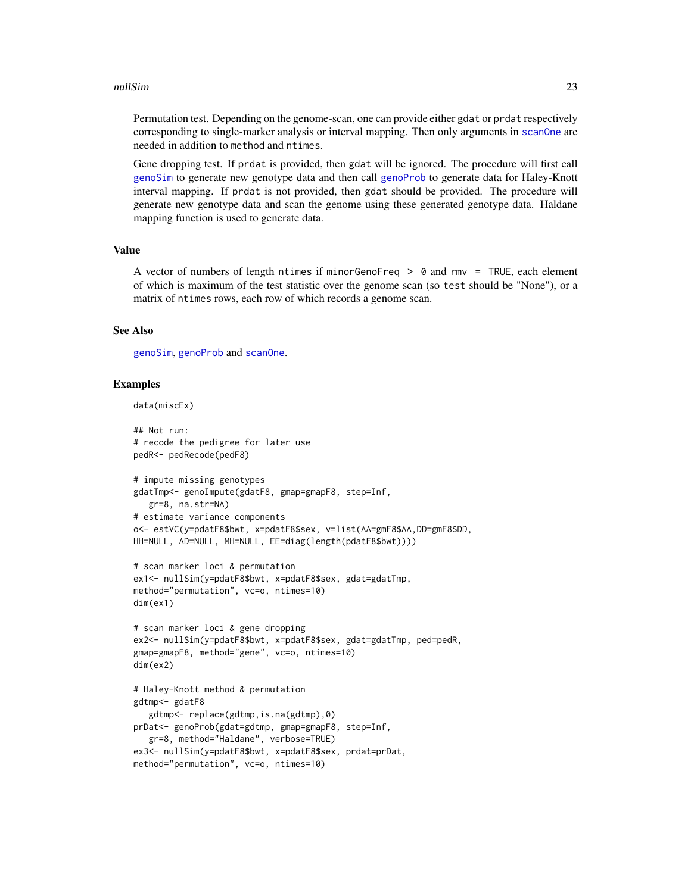#### <span id="page-22-0"></span>nullSim 23

Permutation test. Depending on the genome-scan, one can provide either gdat or prdat respectively corresponding to single-marker analysis or interval mapping. Then only arguments in scanone are needed in addition to method and ntimes.

Gene dropping test. If prdat is provided, then gdat will be ignored. The procedure will first call [genoSim](#page-11-1) to generate new genotype data and then call [genoProb](#page-10-1) to generate data for Haley-Knott interval mapping. If prdat is not provided, then gdat should be provided. The procedure will generate new genotype data and scan the genome using these generated genotype data. Haldane mapping function is used to generate data.

#### Value

A vector of numbers of length ntimes if minorGenoFreq > 0 and rmv = TRUE, each element of which is maximum of the test statistic over the genome scan (so test should be "None"), or a matrix of ntimes rows, each row of which records a genome scan.

#### See Also

[genoSim](#page-11-1), [genoProb](#page-10-1) and [scanOne](#page-31-1).

```
data(miscEx)
```

```
## Not run:
# recode the pedigree for later use
pedR<- pedRecode(pedF8)
# impute missing genotypes
gdatTmp<- genoImpute(gdatF8, gmap=gmapF8, step=Inf,
  gr=8, na.str=NA)
# estimate variance components
o<- estVC(y=pdatF8$bwt, x=pdatF8$sex, v=list(AA=gmF8$AA,DD=gmF8$DD,
HH=NULL, AD=NULL, MH=NULL, EE=diag(length(pdatF8$bwt))))
# scan marker loci & permutation
ex1<- nullSim(y=pdatF8$bwt, x=pdatF8$sex, gdat=gdatTmp,
method="permutation", vc=o, ntimes=10)
dim(ex1)
# scan marker loci & gene dropping
ex2<- nullSim(y=pdatF8$bwt, x=pdatF8$sex, gdat=gdatTmp, ped=pedR,
gmap=gmapF8, method="gene", vc=o, ntimes=10)
dim(ex2)
# Haley-Knott method & permutation
gdtmp<- gdatF8
   gdtmp<- replace(gdtmp,is.na(gdtmp),0)
prDat<- genoProb(gdat=gdtmp, gmap=gmapF8, step=Inf,
  gr=8, method="Haldane", verbose=TRUE)
ex3<- nullSim(y=pdatF8$bwt, x=pdatF8$sex, prdat=prDat,
method="permutation", vc=o, ntimes=10)
```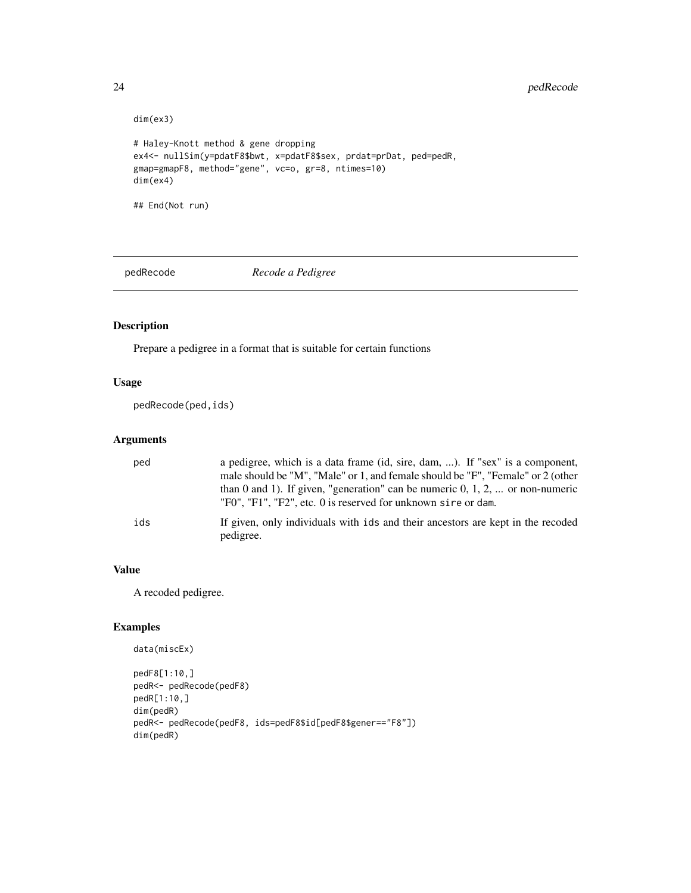# <span id="page-23-0"></span>24 pedRecode

```
dim(ex3)
# Haley-Knott method & gene dropping
ex4<- nullSim(y=pdatF8$bwt, x=pdatF8$sex, prdat=prDat, ped=pedR,
gmap=gmapF8, method="gene", vc=o, gr=8, ntimes=10)
dim(ex4)
## End(Not run)
```
<span id="page-23-1"></span>pedRecode *Recode a Pedigree*

# Description

Prepare a pedigree in a format that is suitable for certain functions

#### Usage

pedRecode(ped,ids)

#### Arguments

| ped | a pedigree, which is a data frame (id, sire, dam, ). If "sex" is a component,<br>male should be "M", "Male" or 1, and female should be "F", "Female" or 2 (other<br>than 0 and 1). If given, "generation" can be numeric $0, 1, 2, $ or non-numeric<br>"F0", "F1", "F2", etc. 0 is reserved for unknown sire or dam. |
|-----|----------------------------------------------------------------------------------------------------------------------------------------------------------------------------------------------------------------------------------------------------------------------------------------------------------------------|
| ids | If given, only individuals with ids and their ancestors are kept in the recoded<br>pedigree.                                                                                                                                                                                                                         |

# Value

A recoded pedigree.

```
data(miscEx)
pedF8[1:10,]
pedR<- pedRecode(pedF8)
pedR[1:10,]
dim(pedR)
pedR<- pedRecode(pedF8, ids=pedF8$id[pedF8$gener=="F8"])
dim(pedR)
```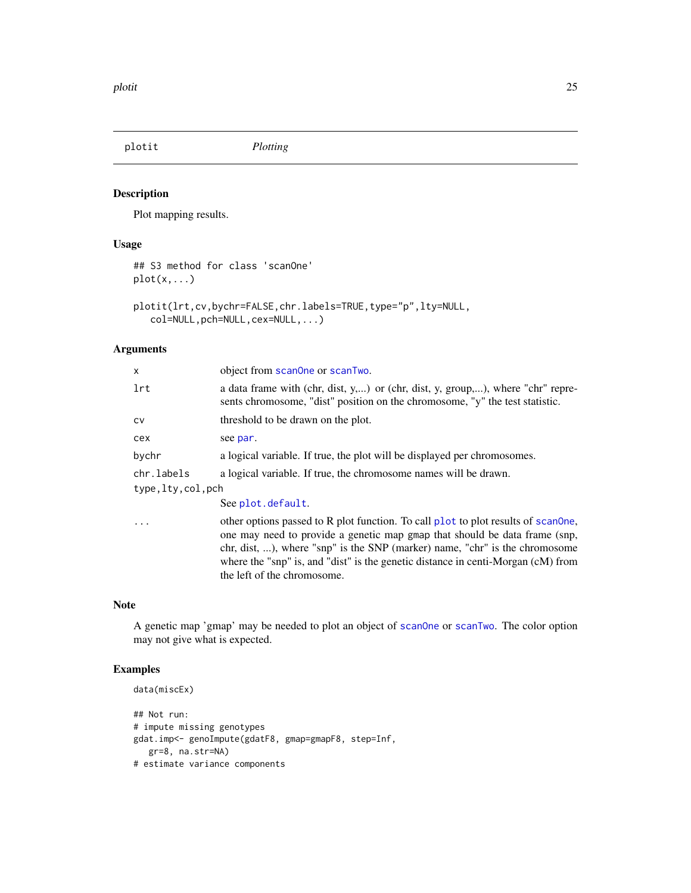<span id="page-24-0"></span>plotit *Plotting*

# <span id="page-24-1"></span>Description

Plot mapping results.

# Usage

```
## S3 method for class 'scanOne'
plot(x,...)
```

```
plotit(lrt,cv,bychr=FALSE,chr.labels=TRUE,type="p",lty=NULL,
   col=NULL,pch=NULL,cex=NULL,...)
```
# Arguments

| x                | object from scanone or scanTwo.                                                                                                                                                                                                                                                                                                                                   |
|------------------|-------------------------------------------------------------------------------------------------------------------------------------------------------------------------------------------------------------------------------------------------------------------------------------------------------------------------------------------------------------------|
| lrt              | a data frame with (chr, dist, y,) or (chr, dist, y, group,), where "chr" repre-<br>sents chromosome, "dist" position on the chromosome, "y" the test statistic.                                                                                                                                                                                                   |
| CV               | threshold to be drawn on the plot.                                                                                                                                                                                                                                                                                                                                |
| сех              | see par.                                                                                                                                                                                                                                                                                                                                                          |
| bychr            | a logical variable. If true, the plot will be displayed per chromosomes.                                                                                                                                                                                                                                                                                          |
| chr.labels       | a logical variable. If true, the chromosome names will be drawn.                                                                                                                                                                                                                                                                                                  |
| type,lty,col,pch |                                                                                                                                                                                                                                                                                                                                                                   |
|                  | See plot.default.                                                                                                                                                                                                                                                                                                                                                 |
| .                | other options passed to R plot function. To call plot to plot results of scanone,<br>one may need to provide a genetic map gmap that should be data frame (snp,<br>chr, dist, ), where "snp" is the SNP (marker) name, "chr" is the chromosome<br>where the "snp" is, and "dist" is the genetic distance in centi-Morgan (cM) from<br>the left of the chromosome. |

# Note

A genetic map 'gmap' may be needed to plot an object of [scanOne](#page-31-1) or [scanTwo](#page-33-1). The color option may not give what is expected.

```
data(miscEx)
```

```
## Not run:
# impute missing genotypes
gdat.imp<- genoImpute(gdatF8, gmap=gmapF8, step=Inf,
  gr=8, na.str=NA)
# estimate variance components
```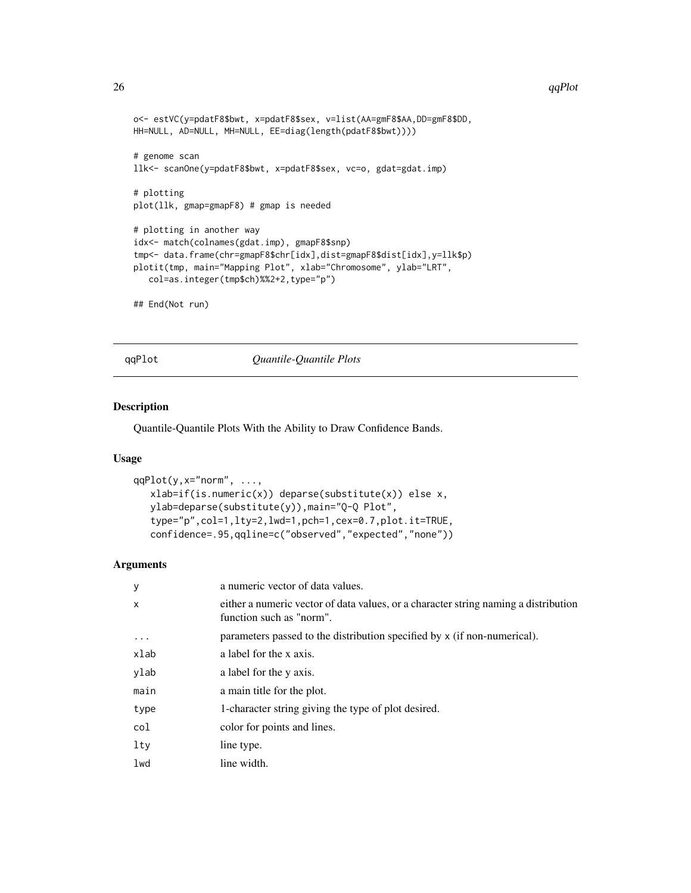```
o<- estVC(y=pdatF8$bwt, x=pdatF8$sex, v=list(AA=gmF8$AA,DD=gmF8$DD,
HH=NULL, AD=NULL, MH=NULL, EE=diag(length(pdatF8$bwt))))
# genome scan
llk<- scanOne(y=pdatF8$bwt, x=pdatF8$sex, vc=o, gdat=gdat.imp)
# plotting
plot(llk, gmap=gmapF8) # gmap is needed
# plotting in another way
idx<- match(colnames(gdat.imp), gmapF8$snp)
tmp<- data.frame(chr=gmapF8$chr[idx],dist=gmapF8$dist[idx],y=llk$p)
plotit(tmp, main="Mapping Plot", xlab="Chromosome", ylab="LRT",
   col=as.integer(tmp$ch)%%2+2,type="p")
## End(Not run)
```
qqPlot *Quantile-Quantile Plots*

#### Description

Quantile-Quantile Plots With the Ability to Draw Confidence Bands.

# Usage

```
qqPlot(y, x="norm", ...,xlab=if(is.numeric(x)) deparse(substitute(x)) else x,
  ylab=deparse(substitute(y)),main="Q-Q Plot",
   type="p",col=1,lty=2,lwd=1,pch=1,cex=0.7,plot.it=TRUE,
  confidence=.95,qqline=c("observed","expected","none"))
```
#### Arguments

| У                 | a numeric vector of data values.                                                                                |
|-------------------|-----------------------------------------------------------------------------------------------------------------|
| $\mathsf{x}$      | either a numeric vector of data values, or a character string naming a distribution<br>function such as "norm". |
| $\cdot\cdot\cdot$ | parameters passed to the distribution specified by x (if non-numerical).                                        |
| xlab              | a label for the x axis.                                                                                         |
| ylab              | a label for the y axis.                                                                                         |
| main              | a main title for the plot.                                                                                      |
| type              | 1-character string giving the type of plot desired.                                                             |
| col               | color for points and lines.                                                                                     |
| lty               | line type.                                                                                                      |
| lwd               | line width.                                                                                                     |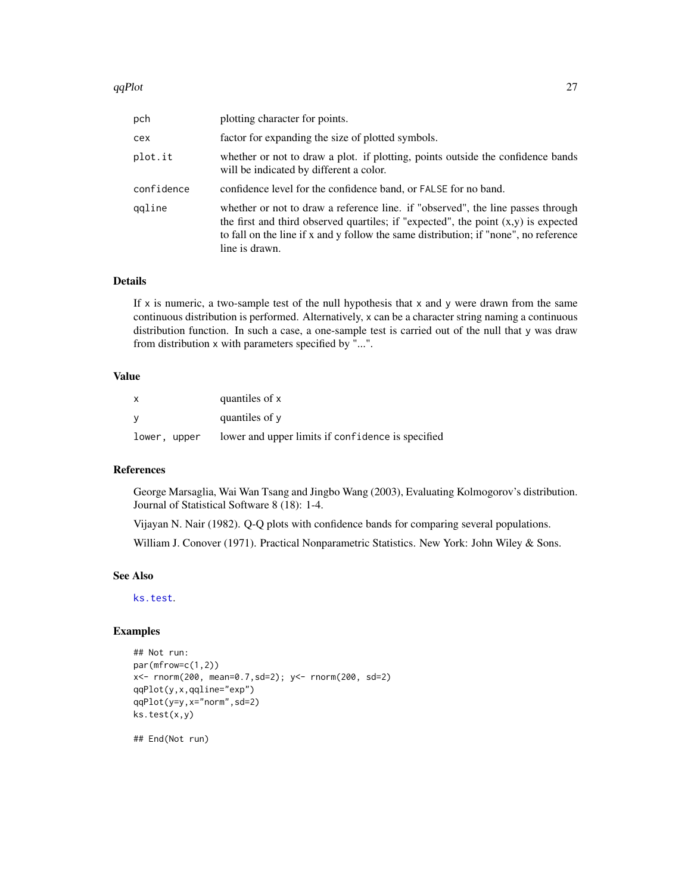#### <span id="page-26-0"></span> $qqPlot$  27

| pch        | plotting character for points.                                                                                                                                                                                                                                                    |
|------------|-----------------------------------------------------------------------------------------------------------------------------------------------------------------------------------------------------------------------------------------------------------------------------------|
| cex        | factor for expanding the size of plotted symbols.                                                                                                                                                                                                                                 |
| plot.it    | whether or not to draw a plot. if plotting, points outside the confidence bands<br>will be indicated by different a color.                                                                                                                                                        |
| confidence | confidence level for the confidence band, or FALSE for no band.                                                                                                                                                                                                                   |
| ggline     | whether or not to draw a reference line. if "observed", the line passes through<br>the first and third observed quartiles; if "expected", the point $(x,y)$ is expected<br>to fall on the line if x and y follow the same distribution; if "none", no reference<br>line is drawn. |

#### Details

If  $x$  is numeric, a two-sample test of the null hypothesis that  $x$  and  $y$  were drawn from the same continuous distribution is performed. Alternatively, x can be a character string naming a continuous distribution function. In such a case, a one-sample test is carried out of the null that y was draw from distribution x with parameters specified by "...".

#### Value

| $\mathsf{x}$ | quantiles of x                                    |
|--------------|---------------------------------------------------|
| - V          | quantiles of y                                    |
| lower, upper | lower and upper limits if confidence is specified |

#### References

George Marsaglia, Wai Wan Tsang and Jingbo Wang (2003), Evaluating Kolmogorov's distribution. Journal of Statistical Software 8 (18): 1-4.

Vijayan N. Nair (1982). Q-Q plots with confidence bands for comparing several populations.

William J. Conover (1971). Practical Nonparametric Statistics. New York: John Wiley & Sons.

# See Also

[ks.test](#page-0-0).

#### Examples

```
## Not run:
par(mfrow=c(1,2))
x<- rnorm(200, mean=0.7,sd=2); y<- rnorm(200, sd=2)
qqPlot(y,x,qqline="exp")
qqPlot(y=y,x="norm",sd=2)
ks.test(x,y)
```
## End(Not run)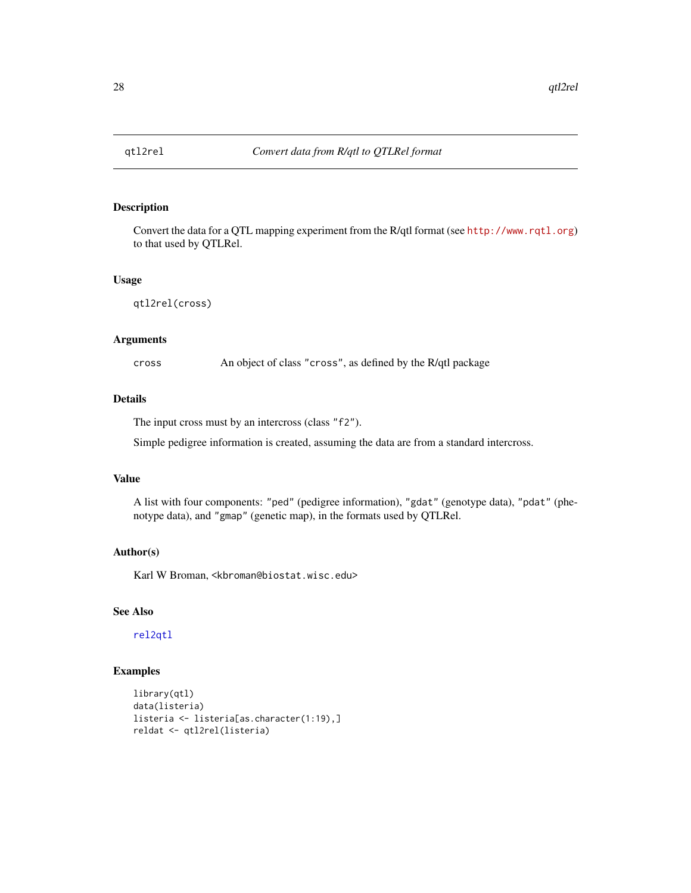<span id="page-27-1"></span><span id="page-27-0"></span>

Convert the data for a QTL mapping experiment from the R/qtl format (see <http://www.rqtl.org>) to that used by QTLRel.

#### Usage

qtl2rel(cross)

#### Arguments

cross An object of class "cross", as defined by the R/qtl package

#### Details

The input cross must by an intercross (class "f2").

Simple pedigree information is created, assuming the data are from a standard intercross.

#### Value

A list with four components: "ped" (pedigree information), "gdat" (genotype data), "pdat" (phenotype data), and "gmap" (genetic map), in the formats used by QTLRel.

# Author(s)

Karl W Broman, <kbroman@biostat.wisc.edu>

# See Also

[rel2qtl](#page-29-1)

```
library(qtl)
data(listeria)
listeria <- listeria[as.character(1:19),]
reldat <- qtl2rel(listeria)
```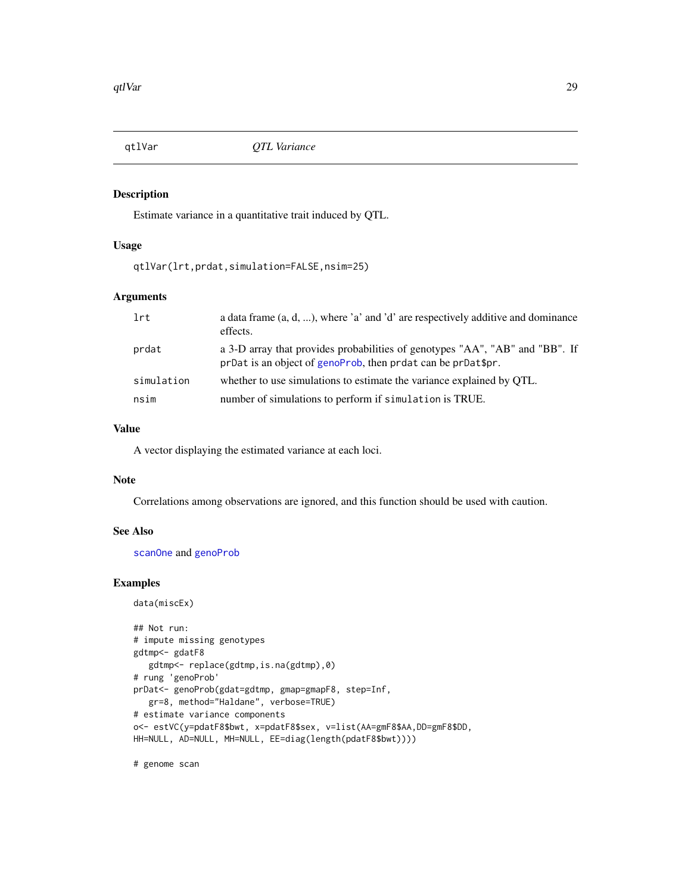<span id="page-28-0"></span>

Estimate variance in a quantitative trait induced by QTL.

#### Usage

qtlVar(lrt,prdat,simulation=FALSE,nsim=25)

# Arguments

| lrt        | a data frame $(a, d, )$ , where 'a' and 'd' are respectively additive and dominance<br>effects.                                              |
|------------|----------------------------------------------------------------------------------------------------------------------------------------------|
| prdat      | a 3-D array that provides probabilities of genotypes "AA", "AB" and "BB". If<br>prDat is an object of genoProb, then prdat can be prDat\$pr. |
| simulation | whether to use simulations to estimate the variance explained by QTL.                                                                        |
| nsim       | number of simulations to perform if simulation is TRUE.                                                                                      |

### Value

A vector displaying the estimated variance at each loci.

#### Note

Correlations among observations are ignored, and this function should be used with caution.

# See Also

[scanOne](#page-31-1) and [genoProb](#page-10-1)

#### Examples

```
data(miscEx)
```

```
## Not run:
# impute missing genotypes
gdtmp<- gdatF8
  gdtmp<- replace(gdtmp,is.na(gdtmp),0)
# rung 'genoProb'
prDat<- genoProb(gdat=gdtmp, gmap=gmapF8, step=Inf,
   gr=8, method="Haldane", verbose=TRUE)
# estimate variance components
o<- estVC(y=pdatF8$bwt, x=pdatF8$sex, v=list(AA=gmF8$AA,DD=gmF8$DD,
HH=NULL, AD=NULL, MH=NULL, EE=diag(length(pdatF8$bwt))))
```
# genome scan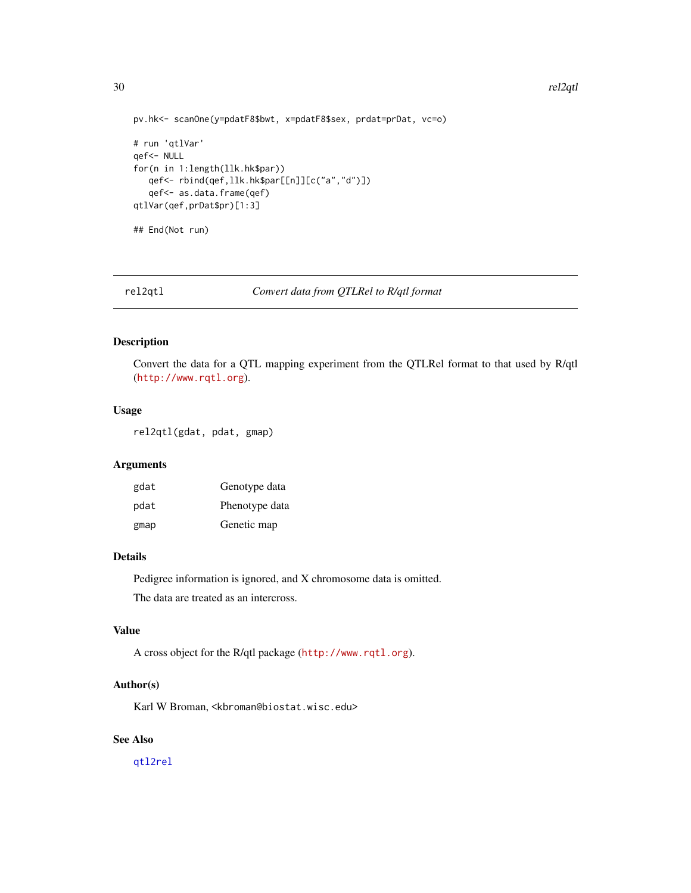```
pv.hk<- scanOne(y=pdatF8$bwt, x=pdatF8$sex, prdat=prDat, vc=o)
# run 'qtlVar'
qef<- NULL
for(n in 1:length(llk.hk$par))
   qef<- rbind(qef,llk.hk$par[[n]][c("a","d")])
   qef<- as.data.frame(qef)
qtlVar(qef,prDat$pr)[1:3]
## End(Not run)
```
<span id="page-29-1"></span>rel2qtl *Convert data from QTLRel to R/qtl format*

# Description

Convert the data for a QTL mapping experiment from the QTLRel format to that used by R/qtl (<http://www.rqtl.org>).

#### Usage

rel2qtl(gdat, pdat, gmap)

# Arguments

| gdat | Genotype data  |
|------|----------------|
| pdat | Phenotype data |
| gmap | Genetic map    |

#### Details

Pedigree information is ignored, and X chromosome data is omitted.

The data are treated as an intercross.

#### Value

A cross object for the R/qtl package (<http://www.rqtl.org>).

#### Author(s)

Karl W Broman, <kbroman@biostat.wisc.edu>

# See Also

[qtl2rel](#page-27-1)

<span id="page-29-0"></span>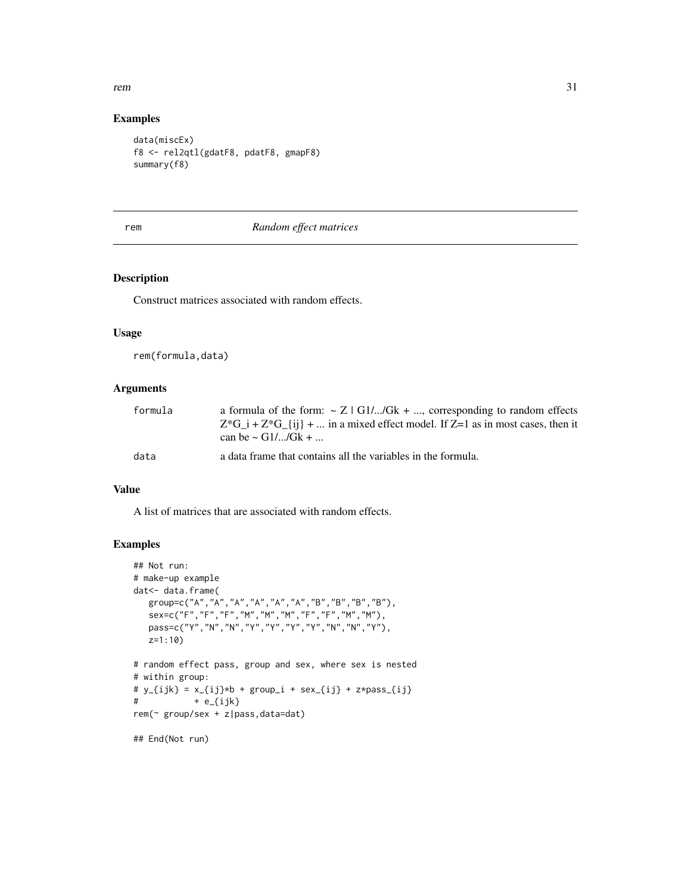#### <span id="page-30-0"></span>rem 31

# Examples

```
data(miscEx)
f8 <- rel2qtl(gdatF8, pdatF8, gmapF8)
summary(f8)
```
# <span id="page-30-1"></span>rem *Random effect matrices*

# Description

Construct matrices associated with random effects.

#### Usage

rem(formula,data)

## Arguments

| formula | a formula of the form: $\sim Z$   G1//Gk + , corresponding to random effects          |
|---------|---------------------------------------------------------------------------------------|
|         | $Z^*G$ i + $Z^*G$ {ii} +  in a mixed effect model. If $Z=1$ as in most cases, then it |
|         | can be $\sim$ G1//Gk +                                                                |
| data    | a data frame that contains all the variables in the formula.                          |

# Value

A list of matrices that are associated with random effects.

```
## Not run:
# make-up example
dat<- data.frame(
   group=c("A","A","A","A","A","A","B","B","B","B"),
   sex=c("F","F","F","M","M","M","F","F","M","M"),
   pass=c("Y","N","N","Y","Y","Y","Y","N","N","Y"),
   z=1:10)
# random effect pass, group and sex, where sex is nested
# within group:
# y_{i} = x_{i} = y_{i} + group<sub>1</sub> + sex<sub>-</sub>{ij} + z*pass<sub>-</sub>{ij}
# + e_{ijk}rem(~ group/sex + z|pass,data=dat)
## End(Not run)
```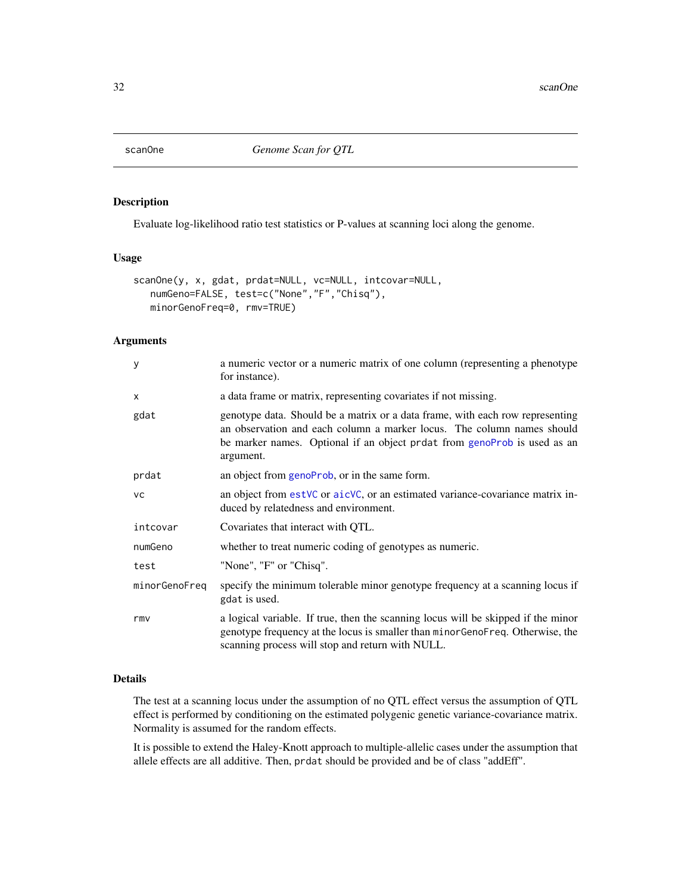<span id="page-31-1"></span><span id="page-31-0"></span>

Evaluate log-likelihood ratio test statistics or P-values at scanning loci along the genome.

#### Usage

```
scanOne(y, x, gdat, prdat=NULL, vc=NULL, intcovar=NULL,
  numGeno=FALSE, test=c("None","F","Chisq"),
  minorGenoFreq=0, rmv=TRUE)
```
# Arguments

| У             | a numeric vector or a numeric matrix of one column (representing a phenotype<br>for instance).                                                                                                                                                   |
|---------------|--------------------------------------------------------------------------------------------------------------------------------------------------------------------------------------------------------------------------------------------------|
| $\times$      | a data frame or matrix, representing covariates if not missing.                                                                                                                                                                                  |
| gdat          | genotype data. Should be a matrix or a data frame, with each row representing<br>an observation and each column a marker locus. The column names should<br>be marker names. Optional if an object prdat from genoProb is used as an<br>argument. |
| prdat         | an object from genoProb, or in the same form.                                                                                                                                                                                                    |
| <b>VC</b>     | an object from est VC or aic VC, or an estimated variance-covariance matrix in-<br>duced by relatedness and environment.                                                                                                                         |
| intcovar      | Covariates that interact with QTL.                                                                                                                                                                                                               |
| numGeno       | whether to treat numeric coding of genotypes as numeric.                                                                                                                                                                                         |
| test          | "None", "F" or "Chisq".                                                                                                                                                                                                                          |
| minorGenoFreq | specify the minimum tolerable minor genotype frequency at a scanning locus if<br>gdat is used.                                                                                                                                                   |
| rmy           | a logical variable. If true, then the scanning locus will be skipped if the minor<br>genotype frequency at the locus is smaller than minorGenoFreq. Otherwise, the<br>scanning process will stop and return with NULL.                           |

# Details

The test at a scanning locus under the assumption of no QTL effect versus the assumption of QTL effect is performed by conditioning on the estimated polygenic genetic variance-covariance matrix. Normality is assumed for the random effects.

It is possible to extend the Haley-Knott approach to multiple-allelic cases under the assumption that allele effects are all additive. Then, prdat should be provided and be of class "addEff".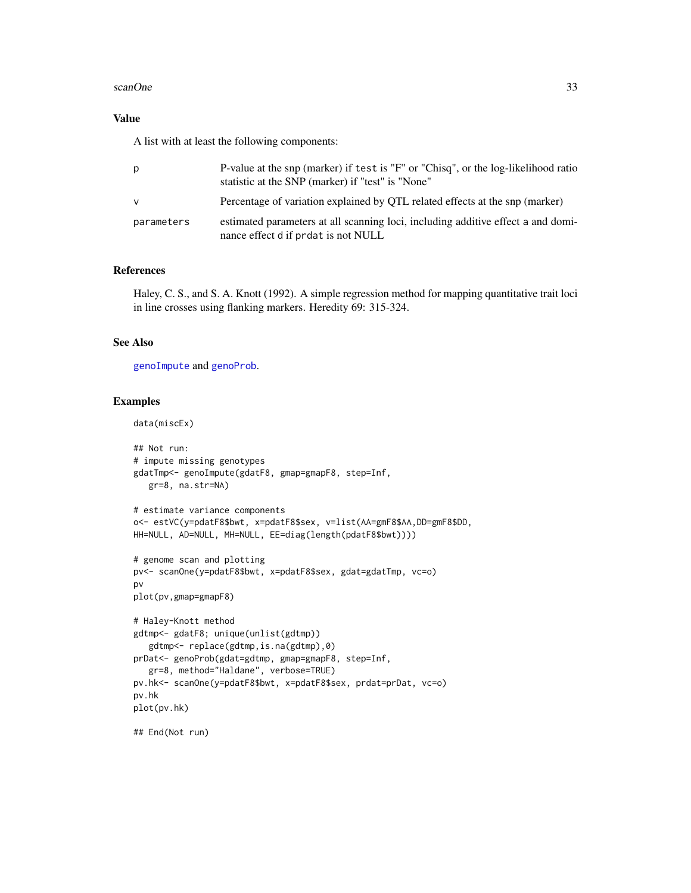#### <span id="page-32-0"></span>scanOne 33

# Value

A list with at least the following components:

| p          | P-value at the snp (marker) if test is "F" or "Chisq", or the log-likelihood ratio<br>statistic at the SNP (marker) if "test" is "None" |
|------------|-----------------------------------------------------------------------------------------------------------------------------------------|
| v          | Percentage of variation explained by QTL related effects at the snp (marker)                                                            |
| parameters | estimated parameters at all scanning loci, including additive effect a and domi-<br>nance effect d if prdat is not NULL                 |

#### References

Haley, C. S., and S. A. Knott (1992). A simple regression method for mapping quantitative trait loci in line crosses using flanking markers. Heredity 69: 315-324.

# See Also

[genoImpute](#page-8-1) and [genoProb](#page-10-1).

```
data(miscEx)
```

```
## Not run:
# impute missing genotypes
gdatTmp<- genoImpute(gdatF8, gmap=gmapF8, step=Inf,
   gr=8, na.str=NA)
# estimate variance components
o<- estVC(y=pdatF8$bwt, x=pdatF8$sex, v=list(AA=gmF8$AA,DD=gmF8$DD,
HH=NULL, AD=NULL, MH=NULL, EE=diag(length(pdatF8$bwt))))
# genome scan and plotting
pv<- scanOne(y=pdatF8$bwt, x=pdatF8$sex, gdat=gdatTmp, vc=o)
pv
plot(pv,gmap=gmapF8)
# Haley-Knott method
gdtmp<- gdatF8; unique(unlist(gdtmp))
   gdtmp<- replace(gdtmp,is.na(gdtmp),0)
prDat<- genoProb(gdat=gdtmp, gmap=gmapF8, step=Inf,
   gr=8, method="Haldane", verbose=TRUE)
pv.hk<- scanOne(y=pdatF8$bwt, x=pdatF8$sex, prdat=prDat, vc=o)
pv.hk
plot(pv.hk)
## End(Not run)
```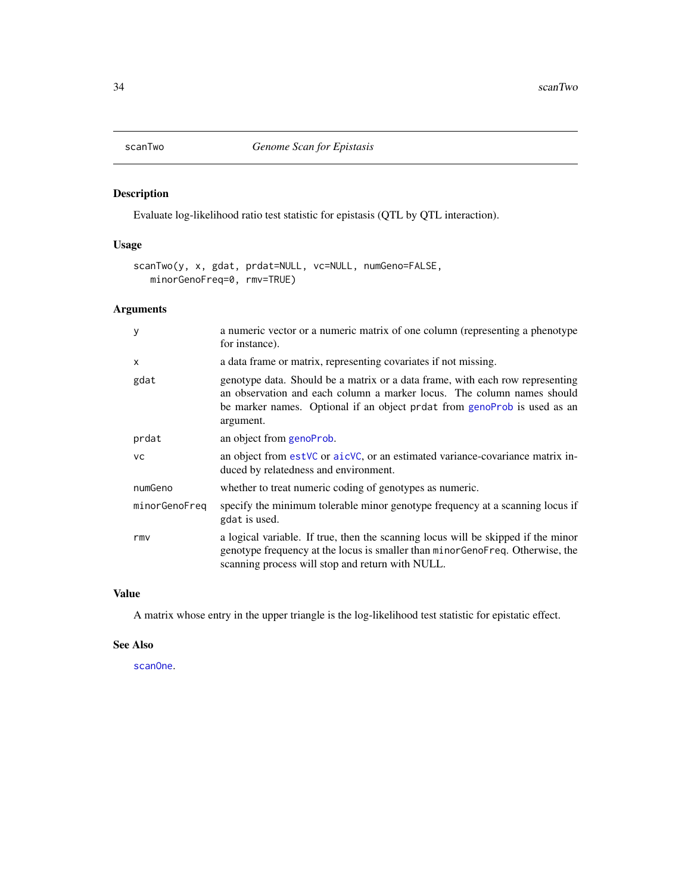<span id="page-33-1"></span><span id="page-33-0"></span>

Evaluate log-likelihood ratio test statistic for epistasis (QTL by QTL interaction).

# Usage

```
scanTwo(y, x, gdat, prdat=NULL, vc=NULL, numGeno=FALSE,
  minorGenoFreq=0, rmv=TRUE)
```
# Arguments

| y             | a numeric vector or a numeric matrix of one column (representing a phenotype<br>for instance).                                                                                                                                                   |
|---------------|--------------------------------------------------------------------------------------------------------------------------------------------------------------------------------------------------------------------------------------------------|
| x             | a data frame or matrix, representing covariates if not missing.                                                                                                                                                                                  |
| gdat          | genotype data. Should be a matrix or a data frame, with each row representing<br>an observation and each column a marker locus. The column names should<br>be marker names. Optional if an object prdat from genoProb is used as an<br>argument. |
| prdat         | an object from genoProb.                                                                                                                                                                                                                         |
| <b>VC</b>     | an object from estVC or aicVC, or an estimated variance-covariance matrix in-<br>duced by relatedness and environment.                                                                                                                           |
| numGeno       | whether to treat numeric coding of genotypes as numeric.                                                                                                                                                                                         |
| minorGenoFreq | specify the minimum tolerable minor genotype frequency at a scanning locus if<br>gdat is used.                                                                                                                                                   |
| rmv           | a logical variable. If true, then the scanning locus will be skipped if the minor<br>genotype frequency at the locus is smaller than minor GenoFreq. Otherwise, the<br>scanning process will stop and return with NULL.                          |

#### Value

A matrix whose entry in the upper triangle is the log-likelihood test statistic for epistatic effect.

# See Also

[scanOne](#page-31-1).